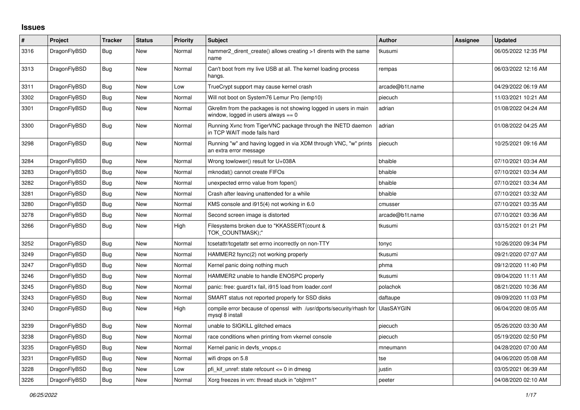## **Issues**

| #    | Project      | <b>Tracker</b> | <b>Status</b> | <b>Priority</b> | <b>Subject</b>                                                                                            | Author            | Assignee | <b>Updated</b>      |
|------|--------------|----------------|---------------|-----------------|-----------------------------------------------------------------------------------------------------------|-------------------|----------|---------------------|
| 3316 | DragonFlyBSD | <b>Bug</b>     | New           | Normal          | hammer2_dirent_create() allows creating >1 dirents with the same<br>name                                  | tkusumi           |          | 06/05/2022 12:35 PM |
| 3313 | DragonFlyBSD | Bug            | New           | Normal          | Can't boot from my live USB at all. The kernel loading process<br>hangs.                                  | rempas            |          | 06/03/2022 12:16 AM |
| 3311 | DragonFlyBSD | <b>Bug</b>     | New           | Low             | TrueCrypt support may cause kernel crash                                                                  | arcade@b1t.name   |          | 04/29/2022 06:19 AM |
| 3302 | DragonFlyBSD | Bug            | New           | Normal          | Will not boot on System76 Lemur Pro (lemp10)                                                              | piecuch           |          | 11/03/2021 10:21 AM |
| 3301 | DragonFlyBSD | <b>Bug</b>     | New           | Normal          | Gkrellm from the packages is not showing logged in users in main<br>window, logged in users always $== 0$ | adrian            |          | 01/08/2022 04:24 AM |
| 3300 | DragonFlyBSD | <b>Bug</b>     | New           | Normal          | Running Xvnc from TigerVNC package through the INETD daemon<br>in TCP WAIT mode fails hard                | adrian            |          | 01/08/2022 04:25 AM |
| 3298 | DragonFlyBSD | <b>Bug</b>     | New           | Normal          | Running "w" and having logged in via XDM through VNC, "w" prints<br>an extra error message                | piecuch           |          | 10/25/2021 09:16 AM |
| 3284 | DragonFlyBSD | <b>Bug</b>     | New           | Normal          | Wrong towlower() result for U+038A                                                                        | bhaible           |          | 07/10/2021 03:34 AM |
| 3283 | DragonFlyBSD | Bug            | New           | Normal          | mknodat() cannot create FIFOs                                                                             | bhaible           |          | 07/10/2021 03:34 AM |
| 3282 | DragonFlyBSD | Bug            | New           | Normal          | unexpected errno value from fopen()                                                                       | bhaible           |          | 07/10/2021 03:34 AM |
| 3281 | DragonFlyBSD | Bug            | New           | Normal          | Crash after leaving unattended for a while                                                                | bhaible           |          | 07/10/2021 03:32 AM |
| 3280 | DragonFlyBSD | Bug            | New           | Normal          | KMS console and i915(4) not working in 6.0                                                                | cmusser           |          | 07/10/2021 03:35 AM |
| 3278 | DragonFlyBSD | <b>Bug</b>     | New           | Normal          | Second screen image is distorted                                                                          | arcade@b1t.name   |          | 07/10/2021 03:36 AM |
| 3266 | DragonFlyBSD | Bug            | New           | High            | Filesystems broken due to "KKASSERT(count &<br>TOK COUNTMASK);"                                           | tkusumi           |          | 03/15/2021 01:21 PM |
| 3252 | DragonFlyBSD | <b>Bug</b>     | <b>New</b>    | Normal          | tcsetattr/tcgetattr set errno incorrectly on non-TTY                                                      | tonyc             |          | 10/26/2020 09:34 PM |
| 3249 | DragonFlyBSD | <b>Bug</b>     | New           | Normal          | HAMMER2 fsync(2) not working properly                                                                     | tkusumi           |          | 09/21/2020 07:07 AM |
| 3247 | DragonFlyBSD | Bug            | New           | Normal          | Kernel panic doing nothing much                                                                           | phma              |          | 09/12/2020 11:40 PM |
| 3246 | DragonFlyBSD | Bug            | New           | Normal          | HAMMER2 unable to handle ENOSPC properly                                                                  | tkusumi           |          | 09/04/2020 11:11 AM |
| 3245 | DragonFlyBSD | Bug            | New           | Normal          | panic: free: guard1x fail, i915 load from loader.conf                                                     | polachok          |          | 08/21/2020 10:36 AM |
| 3243 | DragonFlyBSD | <b>Bug</b>     | <b>New</b>    | Normal          | SMART status not reported properly for SSD disks                                                          | daftaupe          |          | 09/09/2020 11:03 PM |
| 3240 | DragonFlyBSD | Bug            | <b>New</b>    | High            | compile error because of openssl with /usr/dports/security/rhash for<br>mysql 8 install                   | <b>UlasSAYGIN</b> |          | 06/04/2020 08:05 AM |
| 3239 | DragonFlyBSD | Bug            | New           | Normal          | unable to SIGKILL glitched emacs                                                                          | piecuch           |          | 05/26/2020 03:30 AM |
| 3238 | DragonFlyBSD | Bug            | New           | Normal          | race conditions when printing from vkernel console                                                        | piecuch           |          | 05/19/2020 02:50 PM |
| 3235 | DragonFlyBSD | Bug            | New           | Normal          | Kernel panic in devfs vnops.c                                                                             | mneumann          |          | 04/28/2020 07:00 AM |
| 3231 | DragonFlyBSD | Bug            | <b>New</b>    | Normal          | wifi drops on 5.8                                                                                         | tse               |          | 04/06/2020 05:08 AM |
| 3228 | DragonFlyBSD | Bug            | New           | Low             | pfi kif unref: state refcount <= 0 in dmesg                                                               | justin            |          | 03/05/2021 06:39 AM |
| 3226 | DragonFlyBSD | Bug            | New           | Normal          | Xorg freezes in vm: thread stuck in "objtrm1"                                                             | peeter            |          | 04/08/2020 02:10 AM |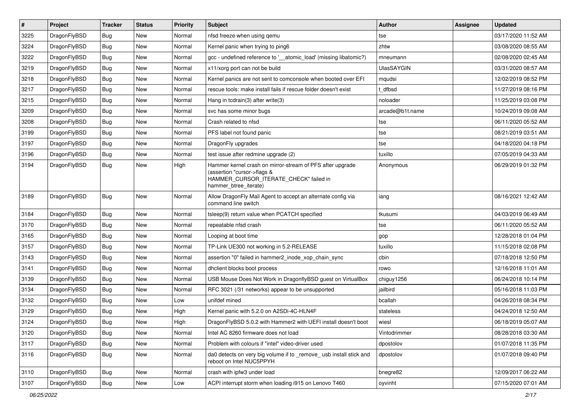| $\pmb{\#}$ | Project      | <b>Tracker</b> | <b>Status</b> | <b>Priority</b> | Subject                                                                                                                                                     | <b>Author</b>     | Assignee | <b>Updated</b>      |
|------------|--------------|----------------|---------------|-----------------|-------------------------------------------------------------------------------------------------------------------------------------------------------------|-------------------|----------|---------------------|
| 3225       | DragonFlyBSD | Bug            | <b>New</b>    | Normal          | nfsd freeze when using gemu                                                                                                                                 | tse               |          | 03/17/2020 11:52 AM |
| 3224       | DragonFlyBSD | Bug            | <b>New</b>    | Normal          | Kernel panic when trying to ping6                                                                                                                           | zhtw              |          | 03/08/2020 08:55 AM |
| 3222       | DragonFlyBSD | Bug            | New           | Normal          | gcc - undefined reference to '__atomic_load' (missing libatomic?)                                                                                           | mneumann          |          | 02/08/2020 02:45 AM |
| 3219       | DragonFlyBSD | Bug            | <b>New</b>    | Normal          | x11/xorg port can not be build                                                                                                                              | <b>UlasSAYGIN</b> |          | 03/31/2020 08:57 AM |
| 3218       | DragonFlyBSD | Bug            | <b>New</b>    | Normal          | Kernel panics are not sent to comconsole when booted over EFI                                                                                               | mqudsi            |          | 12/02/2019 08:52 PM |
| 3217       | DragonFlyBSD | Bug            | New           | Normal          | rescue tools: make install fails if rescue folder doesn't exist                                                                                             | dfbsd             |          | 11/27/2019 08:16 PM |
| 3215       | DragonFlyBSD | Bug            | <b>New</b>    | Normal          | Hang in tcdrain(3) after write(3)                                                                                                                           | noloader          |          | 11/25/2019 03:08 PM |
| 3209       | DragonFlyBSD | Bug            | <b>New</b>    | Normal          | svc has some minor bugs                                                                                                                                     | arcade@b1t.name   |          | 10/24/2019 09:08 AM |
| 3208       | DragonFlyBSD | Bug            | <b>New</b>    | Normal          | Crash related to nfsd                                                                                                                                       | tse               |          | 06/11/2020 05:52 AM |
| 3199       | DragonFlyBSD | Bug            | <b>New</b>    | Normal          | PFS label not found panic                                                                                                                                   | tse               |          | 08/21/2019 03:51 AM |
| 3197       | DragonFlyBSD | Bug            | <b>New</b>    | Normal          | DragonFly upgrades                                                                                                                                          | tse               |          | 04/18/2020 04:18 PM |
| 3196       | DragonFlyBSD | Bug            | <b>New</b>    | Normal          | test issue after redmine upgrade (2)                                                                                                                        | tuxillo           |          | 07/05/2019 04:33 AM |
| 3194       | DragonFlyBSD | Bug            | New           | High            | Hammer kernel crash on mirror-stream of PFS after upgrade<br>(assertion "cursor->flags &<br>HAMMER_CURSOR_ITERATE_CHECK" failed in<br>hammer btree iterate) | Anonymous         |          | 06/29/2019 01:32 PM |
| 3189       | DragonFlyBSD | Bug            | <b>New</b>    | Normal          | Allow DragonFly Mail Agent to accept an alternate config via<br>command line switch                                                                         | iang              |          | 08/16/2021 12:42 AM |
| 3184       | DragonFlyBSD | <b>Bug</b>     | <b>New</b>    | Normal          | tsleep(9) return value when PCATCH specified                                                                                                                | tkusumi           |          | 04/03/2019 06:49 AM |
| 3170       | DragonFlyBSD | Bug            | <b>New</b>    | Normal          | repeatable nfsd crash                                                                                                                                       | tse               |          | 06/11/2020 05:52 AM |
| 3165       | DragonFlyBSD | Bug            | <b>New</b>    | Normal          | Looping at boot time                                                                                                                                        | gop               |          | 12/28/2018 01:04 PM |
| 3157       | DragonFlyBSD | Bug            | New           | Normal          | TP-Link UE300 not working in 5.2-RELEASE                                                                                                                    | tuxillo           |          | 11/15/2018 02:08 PM |
| 3143       | DragonFlyBSD | Bug            | <b>New</b>    | Normal          | assertion "0" failed in hammer2_inode_xop_chain_sync                                                                                                        | cbin              |          | 07/18/2018 12:50 PM |
| 3141       | DragonFlyBSD | Bug            | <b>New</b>    | Normal          | dhclient blocks boot process                                                                                                                                | rowo              |          | 12/16/2018 11:01 AM |
| 3139       | DragonFlyBSD | Bug            | <b>New</b>    | Normal          | USB Mouse Does Not Work in DragonflyBSD guest on VirtualBox                                                                                                 | chiguy1256        |          | 06/24/2018 10:14 PM |
| 3134       | DragonFlyBSD | Bug            | <b>New</b>    | Normal          | RFC 3021 (/31 networks) appear to be unsupported                                                                                                            | jailbird          |          | 05/16/2018 11:03 PM |
| 3132       | DragonFlyBSD | Bug            | New           | Low             | unifdef mined                                                                                                                                               | bcallah           |          | 04/26/2018 08:34 PM |
| 3129       | DragonFlyBSD | Bug            | <b>New</b>    | High            | Kernel panic with 5.2.0 on A2SDi-4C-HLN4F                                                                                                                   | stateless         |          | 04/24/2018 12:50 AM |
| 3124       | DragonFlyBSD | Bug            | New           | High            | DragonFlyBSD 5.0.2 with Hammer2 with UEFI install doesn't boot                                                                                              | wiesl             |          | 06/18/2019 05:07 AM |
| 3120       | DragonFlyBSD | <b>Bug</b>     | New           | Normal          | Intel AC 8260 firmware does not load                                                                                                                        | Vintodrimmer      |          | 08/28/2018 03:30 AM |
| 3117       | DragonFlyBSD | Bug            | New           | Normal          | Problem with colours if "intel" video-driver used                                                                                                           | dpostolov         |          | 01/07/2018 11:35 PM |
| 3116       | DragonFlyBSD | <b>Bug</b>     | New           | Normal          | da0 detects on very big volume if to _remove_usb install stick and<br>reboot on Intel NUC5PPYH                                                              | dpostolov         |          | 01/07/2018 09:40 PM |
| 3110       | DragonFlyBSD | Bug            | New           | Normal          | crash with ipfw3 under load                                                                                                                                 | bnegre82          |          | 12/09/2017 06:22 AM |
| 3107       | DragonFlyBSD | <b>Bug</b>     | New           | Low             | ACPI interrupt storm when loading i915 on Lenovo T460                                                                                                       | oyvinht           |          | 07/15/2020 07:01 AM |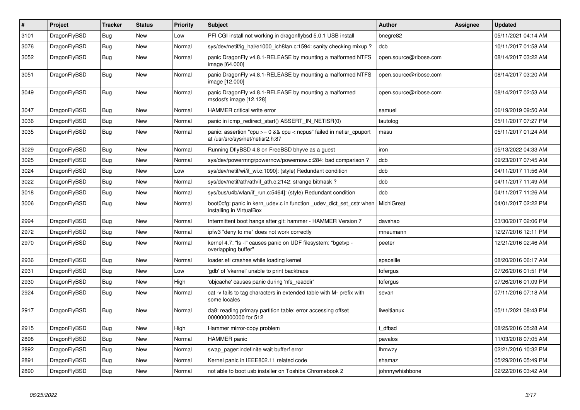| $\pmb{\#}$ | <b>Project</b> | <b>Tracker</b> | <b>Status</b> | <b>Priority</b> | <b>Subject</b>                                                                                            | <b>Author</b>          | Assignee | <b>Updated</b>      |
|------------|----------------|----------------|---------------|-----------------|-----------------------------------------------------------------------------------------------------------|------------------------|----------|---------------------|
| 3101       | DragonFlyBSD   | <b>Bug</b>     | <b>New</b>    | Low             | PFI CGI install not working in dragonflybsd 5.0.1 USB install                                             | bnegre82               |          | 05/11/2021 04:14 AM |
| 3076       | DragonFlyBSD   | <b>Bug</b>     | <b>New</b>    | Normal          | sys/dev/netif/ig hal/e1000 ich8lan.c:1594: sanity checking mixup?                                         | dcb                    |          | 10/11/2017 01:58 AM |
| 3052       | DragonFlyBSD   | Bug            | New           | Normal          | panic DragonFly v4.8.1-RELEASE by mounting a malformed NTFS<br>image [64.000]                             | open.source@ribose.com |          | 08/14/2017 03:22 AM |
| 3051       | DragonFlyBSD   | Bug            | New           | Normal          | panic DragonFly v4.8.1-RELEASE by mounting a malformed NTFS<br>image [12.000]                             | open.source@ribose.com |          | 08/14/2017 03:20 AM |
| 3049       | DragonFlyBSD   | Bug            | New           | Normal          | panic DragonFly v4.8.1-RELEASE by mounting a malformed<br>msdosfs image [12.128]                          | open.source@ribose.com |          | 08/14/2017 02:53 AM |
| 3047       | DragonFlyBSD   | Bug            | <b>New</b>    | Normal          | <b>HAMMER</b> critical write error                                                                        | samuel                 |          | 06/19/2019 09:50 AM |
| 3036       | DragonFlyBSD   | <b>Bug</b>     | <b>New</b>    | Normal          | panic in icmp redirect start() ASSERT IN NETISR(0)                                                        | tautolog               |          | 05/11/2017 07:27 PM |
| 3035       | DragonFlyBSD   | <b>Bug</b>     | <b>New</b>    | Normal          | panic: assertion "cpu $>= 0$ && cpu < ncpus" failed in netisr cpuport<br>at /usr/src/sys/net/netisr2.h:87 | masu                   |          | 05/11/2017 01:24 AM |
| 3029       | DragonFlyBSD   | <b>Bug</b>     | <b>New</b>    | Normal          | Running DflyBSD 4.8 on FreeBSD bhyve as a guest                                                           | iron                   |          | 05/13/2022 04:33 AM |
| 3025       | DragonFlyBSD   | Bug            | <b>New</b>    | Normal          | sys/dev/powermng/powernow/powernow.c:284: bad comparison ?                                                | dcb                    |          | 09/23/2017 07:45 AM |
| 3024       | DragonFlyBSD   | Bug            | <b>New</b>    | Low             | sys/dev/netif/wi/if_wi.c:1090]: (style) Redundant condition                                               | dcb                    |          | 04/11/2017 11:56 AM |
| 3022       | DragonFlyBSD   | Bug            | <b>New</b>    | Normal          | sys/dev/netif/ath/ath/if_ath.c:2142: strange bitmask?                                                     | dcb                    |          | 04/11/2017 11:49 AM |
| 3018       | DragonFlyBSD   | Bug            | <b>New</b>    | Normal          | sys/bus/u4b/wlan/if run.c:5464]: (style) Redundant condition                                              | dcb                    |          | 04/11/2017 11:26 AM |
| 3006       | DragonFlyBSD   | Bug            | New           | Normal          | boot Ocfg: panic in kern udev.c in function udev dict set cstr when<br>installing in VirtualBox           | MichiGreat             |          | 04/01/2017 02:22 PM |
| 2994       | DragonFlyBSD   | <b>Bug</b>     | <b>New</b>    | Normal          | Intermittent boot hangs after git: hammer - HAMMER Version 7                                              | davshao                |          | 03/30/2017 02:06 PM |
| 2972       | DragonFlyBSD   | <b>Bug</b>     | <b>New</b>    | Normal          | ipfw3 "deny to me" does not work correctly                                                                | mneumann               |          | 12/27/2016 12:11 PM |
| 2970       | DragonFlyBSD   | <b>Bug</b>     | <b>New</b>    | Normal          | kernel 4.7: "Is -I" causes panic on UDF filesystem: "bgetvp -<br>overlapping buffer"                      | peeter                 |          | 12/21/2016 02:46 AM |
| 2936       | DragonFlyBSD   | <b>Bug</b>     | <b>New</b>    | Normal          | loader.efi crashes while loading kernel                                                                   | spaceille              |          | 08/20/2016 06:17 AM |
| 2931       | DragonFlyBSD   | <b>Bug</b>     | <b>New</b>    | Low             | 'gdb' of 'vkernel' unable to print backtrace                                                              | tofergus               |          | 07/26/2016 01:51 PM |
| 2930       | DragonFlyBSD   | Bug            | New           | High            | 'objcache' causes panic during 'nfs readdir'                                                              | tofergus               |          | 07/26/2016 01:09 PM |
| 2924       | DragonFlyBSD   | <b>Bug</b>     | New           | Normal          | cat -v fails to tag characters in extended table with M- prefix with<br>some locales                      | sevan                  |          | 07/11/2016 07:18 AM |
| 2917       | DragonFlyBSD   | Bug            | New           | Normal          | da8: reading primary partition table: error accessing offset<br>000000000000 for 512                      | liweitianux            |          | 05/11/2021 08:43 PM |
| 2915       | DragonFlyBSD   | <b>Bug</b>     | <b>New</b>    | High            | Hammer mirror-copy problem                                                                                | t dfbsd                |          | 08/25/2016 05:28 AM |
| 2898       | DragonFlyBSD   | Bug            | New           | Normal          | <b>HAMMER</b> panic                                                                                       | pavalos                |          | 11/03/2018 07:05 AM |
| 2892       | DragonFlyBSD   | Bug            | <b>New</b>    | Normal          | swap_pager:indefinite wait bufferf error                                                                  | lhmwzy                 |          | 02/21/2016 10:32 PM |
| 2891       | DragonFlyBSD   | Bug            | New           | Normal          | Kernel panic in IEEE802.11 related code                                                                   | shamaz                 |          | 05/29/2016 05:49 PM |
| 2890       | DragonFlyBSD   | Bug            | <b>New</b>    | Normal          | not able to boot usb installer on Toshiba Chromebook 2                                                    | johnnywhishbone        |          | 02/22/2016 03:42 AM |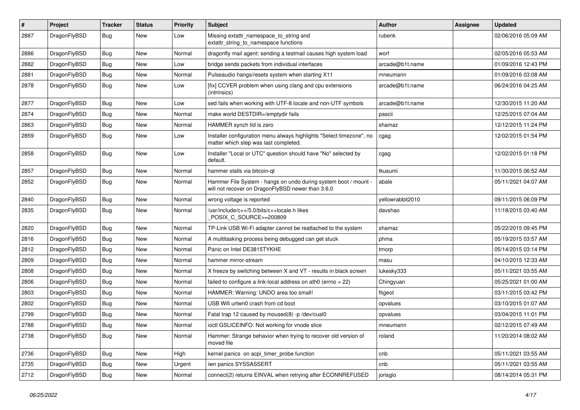| $\#$ | Project      | <b>Tracker</b> | <b>Status</b> | <b>Priority</b> | Subject                                                                                                              | Author           | Assignee | <b>Updated</b>      |
|------|--------------|----------------|---------------|-----------------|----------------------------------------------------------------------------------------------------------------------|------------------|----------|---------------------|
| 2887 | DragonFlyBSD | Bug            | New           | Low             | Missing extattr_namespace_to_string and<br>extattr_string_to_namespace functions                                     | rubenk           |          | 02/06/2016 05:09 AM |
| 2886 | DragonFlyBSD | <b>Bug</b>     | New           | Normal          | dragonfly mail agent: sending a testmail causes high system load                                                     | worf             |          | 02/05/2016 05:53 AM |
| 2882 | DragonFlyBSD | <b>Bug</b>     | New           | Low             | bridge sends packets from individual interfaces                                                                      | arcade@b1t.name  |          | 01/09/2016 12:43 PM |
| 2881 | DragonFlyBSD | <b>Bug</b>     | New           | Normal          | Pulseaudio hangs/resets system when starting X11                                                                     | mneumann         |          | 01/09/2016 03:08 AM |
| 2878 | DragonFlyBSD | <b>Bug</b>     | <b>New</b>    | Low             | [fix] CCVER problem when using clang and cpu extensions<br>(intrinsics)                                              | arcade@b1t.name  |          | 06/24/2016 04:25 AM |
| 2877 | DragonFlyBSD | Bug            | New           | Low             | sed fails when working with UTF-8 locale and non-UTF symbols                                                         | arcade@b1t.name  |          | 12/30/2015 11:20 AM |
| 2874 | DragonFlyBSD | <b>Bug</b>     | New           | Normal          | make world DESTDIR=/emptydir fails                                                                                   | pascii           |          | 12/25/2015 07:04 AM |
| 2863 | DragonFlyBSD | <b>Bug</b>     | <b>New</b>    | Normal          | HAMMER synch tid is zero                                                                                             | shamaz           |          | 12/12/2015 11:24 PM |
| 2859 | DragonFlyBSD | <b>Bug</b>     | New           | Low             | Installer configuration menu always highlights "Select timezone", no<br>matter which step was last completed.        | cgag             |          | 12/02/2015 01:54 PM |
| 2858 | DragonFlyBSD | <b>Bug</b>     | <b>New</b>    | Low             | Installer "Local or UTC" question should have "No" selected by<br>default.                                           | cgag             |          | 12/02/2015 01:18 PM |
| 2857 | DragonFlyBSD | <b>Bug</b>     | <b>New</b>    | Normal          | hammer stalls via bitcoin-qt                                                                                         | tkusumi          |          | 11/30/2015 06:52 AM |
| 2852 | DragonFlyBSD | <b>Bug</b>     | <b>New</b>    | Normal          | Hammer File System - hangs on undo during system boot / mount -<br>will not recover on DragonFlyBSD newer than 3.6.0 | abale            |          | 05/11/2021 04:07 AM |
| 2840 | DragonFlyBSD | <b>Bug</b>     | New           | Normal          | wrong voltage is reported                                                                                            | yellowrabbit2010 |          | 09/11/2015 06:09 PM |
| 2835 | DragonFlyBSD | <b>Bug</b>     | <b>New</b>    | Normal          | /usr/include/c++/5.0/bits/c++locale.h likes<br>POSIX_C_SOURCE>=200809                                                | davshao          |          | 11/18/2015 03:40 AM |
| 2820 | DragonFlyBSD | <b>Bug</b>     | <b>New</b>    | Normal          | TP-Link USB Wi-Fi adapter cannot be reattached to the system                                                         | shamaz           |          | 05/22/2015 09:45 PM |
| 2816 | DragonFlyBSD | <b>Bug</b>     | New           | Normal          | A multitasking process being debugged can get stuck                                                                  | phma             |          | 05/19/2015 03:57 AM |
| 2812 | DragonFlyBSD | <b>Bug</b>     | New           | Normal          | Panic on Intel DE3815TYKHE                                                                                           | tmorp            |          | 05/14/2015 03:14 PM |
| 2809 | DragonFlyBSD | <b>Bug</b>     | <b>New</b>    | Normal          | hammer mirror-stream                                                                                                 | masu             |          | 04/10/2015 12:33 AM |
| 2808 | DragonFlyBSD | <b>Bug</b>     | New           | Normal          | X freeze by switching between X and VT - results in black screen                                                     | lukesky333       |          | 05/11/2021 03:55 AM |
| 2806 | DragonFlyBSD | Bug            | <b>New</b>    | Normal          | failed to configure a link-local address on ath0 (errno = 22)                                                        | Chingyuan        |          | 05/25/2021 01:00 AM |
| 2803 | DragonFlyBSD | <b>Bug</b>     | New           | Normal          | HAMMER: Warning: UNDO area too small!                                                                                | ftigeot          |          | 03/11/2015 03:42 PM |
| 2802 | DragonFlyBSD | Bug            | New           | Normal          | USB Wifi urtwn0 crash from cd boot                                                                                   | opvalues         |          | 03/10/2015 01:07 AM |
| 2799 | DragonFlyBSD | Bug            | New           | Normal          | Fatal trap 12 caused by moused(8) -p /dev/cual0                                                                      | opvalues         |          | 03/04/2015 11:01 PM |
| 2788 | DragonFlyBSD | Bug            | <b>New</b>    | Normal          | ioctl GSLICEINFO: Not working for vnode slice                                                                        | mneumann         |          | 02/12/2015 07:49 AM |
| 2738 | DragonFlyBSD | <b>Bug</b>     | New           | Normal          | Hammer: Strange behavior when trying to recover old version of<br>moved file                                         | roland           |          | 11/20/2014 08:02 AM |
| 2736 | DragonFlyBSD | <b>Bug</b>     | <b>New</b>    | High            | kernel panics on acpi_timer_probe function                                                                           | cnb              |          | 05/11/2021 03:55 AM |
| 2735 | DragonFlyBSD | Bug            | <b>New</b>    | Urgent          | iwn panics SYSSASSERT                                                                                                | cnb              |          | 05/11/2021 03:55 AM |
| 2712 | DragonFlyBSD | <b>Bug</b>     | New           | Normal          | connect(2) returns EINVAL when retrying after ECONNREFUSED                                                           | jorisgio         |          | 08/14/2014 05:31 PM |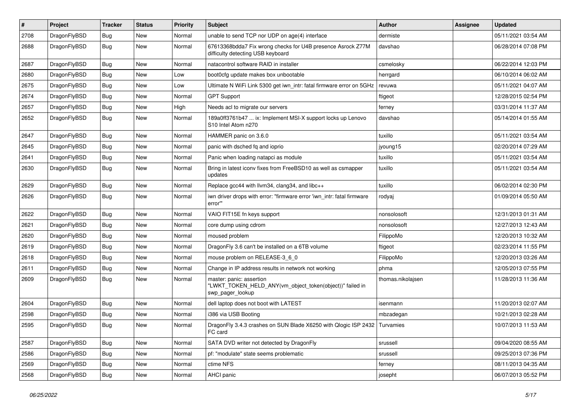| #    | Project      | <b>Tracker</b> | <b>Status</b> | <b>Priority</b> | Subject                                                                                                  | Author            | Assignee | <b>Updated</b>      |
|------|--------------|----------------|---------------|-----------------|----------------------------------------------------------------------------------------------------------|-------------------|----------|---------------------|
| 2708 | DragonFlyBSD | Bug            | <b>New</b>    | Normal          | unable to send TCP nor UDP on age(4) interface                                                           | dermiste          |          | 05/11/2021 03:54 AM |
| 2688 | DragonFlyBSD | <b>Bug</b>     | <b>New</b>    | Normal          | 67613368bdda7 Fix wrong checks for U4B presence Asrock Z77M<br>difficulty detecting USB keyboard         | davshao           |          | 06/28/2014 07:08 PM |
| 2687 | DragonFlyBSD | Bug            | New           | Normal          | natacontrol software RAID in installer                                                                   | csmelosky         |          | 06/22/2014 12:03 PM |
| 2680 | DragonFlyBSD | Bug            | New           | Low             | boot0cfg update makes box unbootable                                                                     | herrgard          |          | 06/10/2014 06:02 AM |
| 2675 | DragonFlyBSD | Bug            | <b>New</b>    | Low             | Ultimate N WiFi Link 5300 get iwn_intr: fatal firmware error on 5GHz                                     | revuwa            |          | 05/11/2021 04:07 AM |
| 2674 | DragonFlyBSD | Bug            | <b>New</b>    | Normal          | <b>GPT Support</b>                                                                                       | ftigeot           |          | 12/28/2015 02:54 PM |
| 2657 | DragonFlyBSD | <b>Bug</b>     | <b>New</b>    | High            | Needs acl to migrate our servers                                                                         | ferney            |          | 03/31/2014 11:37 AM |
| 2652 | DragonFlyBSD | <b>Bug</b>     | New           | Normal          | 189a0ff3761b47  ix: Implement MSI-X support locks up Lenovo<br>S10 Intel Atom n270                       | davshao           |          | 05/14/2014 01:55 AM |
| 2647 | DragonFlyBSD | Bug            | <b>New</b>    | Normal          | HAMMER panic on 3.6.0                                                                                    | tuxillo           |          | 05/11/2021 03:54 AM |
| 2645 | DragonFlyBSD | <b>Bug</b>     | New           | Normal          | panic with dsched fq and ioprio                                                                          | jyoung15          |          | 02/20/2014 07:29 AM |
| 2641 | DragonFlyBSD | <b>Bug</b>     | New           | Normal          | Panic when loading natapci as module                                                                     | tuxillo           |          | 05/11/2021 03:54 AM |
| 2630 | DragonFlyBSD | <b>Bug</b>     | <b>New</b>    | Normal          | Bring in latest iconv fixes from FreeBSD10 as well as csmapper<br>updates                                | tuxillo           |          | 05/11/2021 03:54 AM |
| 2629 | DragonFlyBSD | <b>Bug</b>     | <b>New</b>    | Normal          | Replace gcc44 with llvm34, clang34, and libc++                                                           | tuxillo           |          | 06/02/2014 02:30 PM |
| 2626 | DragonFlyBSD | <b>Bug</b>     | New           | Normal          | iwn driver drops with error: "firmware error 'iwn intr: fatal firmware<br>error"                         | rodyaj            |          | 01/09/2014 05:50 AM |
| 2622 | DragonFlyBSD | Bug            | <b>New</b>    | Normal          | VAIO FIT15E fn keys support                                                                              | nonsolosoft       |          | 12/31/2013 01:31 AM |
| 2621 | DragonFlyBSD | <b>Bug</b>     | New           | Normal          | core dump using cdrom                                                                                    | nonsolosoft       |          | 12/27/2013 12:43 AM |
| 2620 | DragonFlyBSD | <b>Bug</b>     | New           | Normal          | moused problem                                                                                           | FilippoMo         |          | 12/20/2013 10:32 AM |
| 2619 | DragonFlyBSD | <b>Bug</b>     | <b>New</b>    | Normal          | DragonFly 3.6 can't be installed on a 6TB volume                                                         | ftigeot           |          | 02/23/2014 11:55 PM |
| 2618 | DragonFlyBSD | Bug            | New           | Normal          | mouse problem on RELEASE-3_6_0                                                                           | FilippoMo         |          | 12/20/2013 03:26 AM |
| 2611 | DragonFlyBSD | <b>Bug</b>     | <b>New</b>    | Normal          | Change in IP address results in network not working                                                      | phma              |          | 12/05/2013 07:55 PM |
| 2609 | DragonFlyBSD | <b>Bug</b>     | New           | Normal          | master: panic: assertion<br>"LWKT_TOKEN_HELD_ANY(vm_object_token(object))" failed in<br>swp_pager_lookup | thomas.nikolajsen |          | 11/28/2013 11:36 AM |
| 2604 | DragonFlyBSD | Bug            | <b>New</b>    | Normal          | dell laptop does not boot with LATEST                                                                    | isenmann          |          | 11/20/2013 02:07 AM |
| 2598 | DragonFlyBSD | <b>Bug</b>     | New           | Normal          | i386 via USB Booting                                                                                     | mbzadegan         |          | 10/21/2013 02:28 AM |
| 2595 | DragonFlyBSD | Bug            | <b>New</b>    | Normal          | DragonFly 3.4.3 crashes on SUN Blade X6250 with Qlogic ISP 2432 Turvamies<br>FC card                     |                   |          | 10/07/2013 11:53 AM |
| 2587 | DragonFlyBSD | <b>Bug</b>     | New           | Normal          | SATA DVD writer not detected by DragonFly                                                                | srussell          |          | 09/04/2020 08:55 AM |
| 2586 | DragonFlyBSD | Bug            | <b>New</b>    | Normal          | pf: "modulate" state seems problematic                                                                   | srussell          |          | 09/25/2013 07:36 PM |
| 2569 | DragonFlyBSD | Bug            | <b>New</b>    | Normal          | ctime NFS                                                                                                | ferney            |          | 08/11/2013 04:35 AM |
| 2568 | DragonFlyBSD | <b>Bug</b>     | New           | Normal          | AHCI panic                                                                                               | josepht           |          | 06/07/2013 05:52 PM |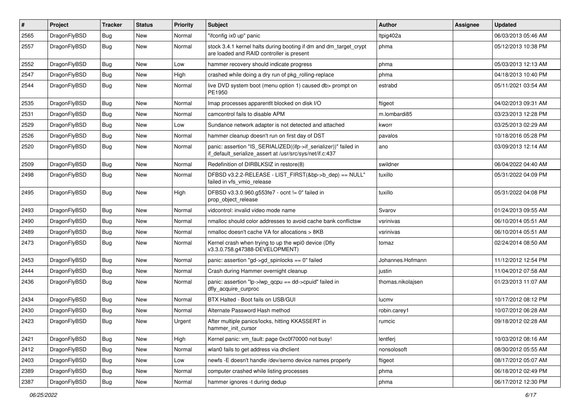| $\vert$ # | Project      | <b>Tracker</b> | <b>Status</b> | <b>Priority</b> | Subject                                                                                                                      | Author            | Assignee | <b>Updated</b>      |
|-----------|--------------|----------------|---------------|-----------------|------------------------------------------------------------------------------------------------------------------------------|-------------------|----------|---------------------|
| 2565      | DragonFlyBSD | <b>Bug</b>     | New           | Normal          | "ifconfig ix0 up" panic                                                                                                      | ltpig402a         |          | 06/03/2013 05:46 AM |
| 2557      | DragonFlyBSD | Bug            | New           | Normal          | stock 3.4.1 kernel halts during booting if dm and dm_target_crypt<br>are loaded and RAID controller is present               | phma              |          | 05/12/2013 10:38 PM |
| 2552      | DragonFlyBSD | Bug            | New           | Low             | hammer recovery should indicate progress                                                                                     | phma              |          | 05/03/2013 12:13 AM |
| 2547      | DragonFlyBSD | Bug            | <b>New</b>    | High            | crashed while doing a dry run of pkg_rolling-replace                                                                         | phma              |          | 04/18/2013 10:40 PM |
| 2544      | DragonFlyBSD | <b>Bug</b>     | New           | Normal          | live DVD system boot (menu option 1) caused db> prompt on<br>PE1950                                                          | estrabd           |          | 05/11/2021 03:54 AM |
| 2535      | DragonFlyBSD | Bug            | <b>New</b>    | Normal          | Imap processes apparentlt blocked on disk I/O                                                                                | ftigeot           |          | 04/02/2013 09:31 AM |
| 2531      | DragonFlyBSD | <b>Bug</b>     | <b>New</b>    | Normal          | camcontrol fails to disable APM                                                                                              | m.lombardi85      |          | 03/23/2013 12:28 PM |
| 2529      | DragonFlyBSD | Bug            | New           | Low             | Sundance network adapter is not detected and attached                                                                        | kworr             |          | 03/25/2013 02:29 AM |
| 2526      | DragonFlyBSD | <b>Bug</b>     | <b>New</b>    | Normal          | hammer cleanup doesn't run on first day of DST                                                                               | pavalos           |          | 10/18/2016 05:28 PM |
| 2520      | DragonFlyBSD | <b>Bug</b>     | New           | Normal          | panic: assertion "IS_SERIALIZED((ifp->if_serializer))" failed in<br>if default serialize assert at /usr/src/sys/net/if.c:437 | ano               |          | 03/09/2013 12:14 AM |
| 2509      | DragonFlyBSD | Bug            | New           | Normal          | Redefinition of DIRBLKSIZ in restore(8)                                                                                      | swildner          |          | 06/04/2022 04:40 AM |
| 2498      | DragonFlyBSD | Bug            | New           | Normal          | DFBSD v3.2.2-RELEASE - LIST_FIRST(&bp->b_dep) == NULL"<br>failed in vfs vmio release                                         | tuxillo           |          | 05/31/2022 04:09 PM |
| 2495      | DragonFlyBSD | Bug            | <b>New</b>    | High            | DFBSD v3.3.0.960.g553fe7 - ocnt != 0" failed in<br>prop_object_release                                                       | tuxillo           |          | 05/31/2022 04:08 PM |
| 2493      | DragonFlyBSD | Bug            | New           | Normal          | vidcontrol: invalid video mode name                                                                                          | Svarov            |          | 01/24/2013 09:55 AM |
| 2490      | DragonFlyBSD | <b>Bug</b>     | New           | Normal          | nmalloc should color addresses to avoid cache bank conflictsw                                                                | vsrinivas         |          | 06/10/2014 05:51 AM |
| 2489      | DragonFlyBSD | Bug            | New           | Normal          | nmalloc doesn't cache VA for allocations > 8KB                                                                               | vsrinivas         |          | 06/10/2014 05:51 AM |
| 2473      | DragonFlyBSD | <b>Bug</b>     | New           | Normal          | Kernel crash when trying to up the wpi0 device (Dfly<br>v3.3.0.758.g47388-DEVELOPMENT)                                       | tomaz             |          | 02/24/2014 08:50 AM |
| 2453      | DragonFlyBSD | Bug            | <b>New</b>    | Normal          | panic: assertion "gd->gd_spinlocks == 0" failed                                                                              | Johannes.Hofmann  |          | 11/12/2012 12:54 PM |
| 2444      | DragonFlyBSD | <b>Bug</b>     | <b>New</b>    | Normal          | Crash during Hammer overnight cleanup                                                                                        | justin            |          | 11/04/2012 07:58 AM |
| 2436      | DragonFlyBSD | Bug            | New           | Normal          | panic: assertion "lp->lwp_qcpu == dd->cpuid" failed in<br>dfly_acquire_curproc                                               | thomas.nikolajsen |          | 01/23/2013 11:07 AM |
| 2434      | DragonFlyBSD | Bug            | <b>New</b>    | Normal          | BTX Halted - Boot fails on USB/GUI                                                                                           | lucmv             |          | 10/17/2012 08:12 PM |
| 2430      | DragonFlyBSD | Bug            | <b>New</b>    | Normal          | Alternate Password Hash method                                                                                               | robin.carey1      |          | 10/07/2012 06:28 AM |
| 2423      | DragonFlyBSD | Bug            | New           | Urgent          | After multiple panics/locks, hitting KKASSERT in<br>hammer_init_cursor                                                       | rumcic            |          | 09/18/2012 02:28 AM |
| 2421      | DragonFlyBSD | <b>Bug</b>     | <b>New</b>    | High            | Kernel panic: vm_fault: page 0xc0f70000 not busy!                                                                            | lentferj          |          | 10/03/2012 08:16 AM |
| 2412      | DragonFlyBSD | <b>Bug</b>     | New           | Normal          | wlan0 fails to get address via dhclient                                                                                      | nonsolosoft       |          | 08/30/2012 05:55 AM |
| 2403      | DragonFlyBSD | <b>Bug</b>     | New           | Low             | newfs -E doesn't handle /dev/serno device names properly                                                                     | ftigeot           |          | 08/17/2012 05:07 AM |
| 2389      | DragonFlyBSD | Bug            | New           | Normal          | computer crashed while listing processes                                                                                     | phma              |          | 06/18/2012 02:49 PM |
| 2387      | DragonFlyBSD | <b>Bug</b>     | New           | Normal          | hammer ignores -t during dedup                                                                                               | phma              |          | 06/17/2012 12:30 PM |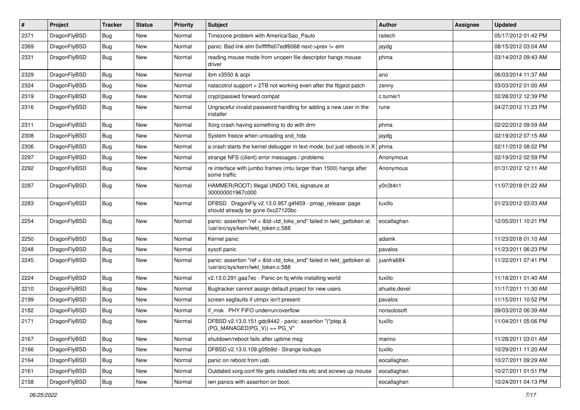| $\pmb{\#}$ | Project      | <b>Tracker</b> | <b>Status</b> | <b>Priority</b> | Subject                                                                                                    | <b>Author</b> | Assignee | <b>Updated</b>      |
|------------|--------------|----------------|---------------|-----------------|------------------------------------------------------------------------------------------------------------|---------------|----------|---------------------|
| 2371       | DragonFlyBSD | Bug            | New           | Normal          | Timezone problem with America/Sao_Paulo                                                                    | raitech       |          | 05/17/2012 01:42 PM |
| 2369       | DragonFlyBSD | Bug            | New           | Normal          | panic: Bad link elm 0xffffffe07edf6068 next->prev != elm                                                   | jaydg         |          | 08/15/2012 03:04 AM |
| 2331       | DragonFlyBSD | Bug            | New           | Normal          | reading mouse mode from unopen file descriptor hangs mouse<br>driver                                       | phma          |          | 03/14/2012 09:43 AM |
| 2329       | DragonFlyBSD | Bug            | <b>New</b>    | Normal          | ibm x3550 & acpi                                                                                           | ano           |          | 06/03/2014 11:37 AM |
| 2324       | DragonFlyBSD | Bug            | New           | Normal          | natacotrol support > 2TB not working even after the ftigeot patch                                          | zenny         |          | 03/03/2012 01:00 AM |
| 2319       | DragonFlyBSD | <b>Bug</b>     | New           | Normal          | crypt/passwd forward compat                                                                                | c.turner1     |          | 02/28/2012 12:39 PM |
| 2316       | DragonFlyBSD | Bug            | New           | Normal          | Ungraceful invalid password handling for adding a new user in the<br>installer                             | rune          |          | 04/27/2012 11:23 PM |
| 2311       | DragonFlyBSD | Bug            | New           | Normal          | Xorg crash having something to do with drm                                                                 | phma          |          | 02/22/2012 09:59 AM |
| 2308       | DragonFlyBSD | Bug            | <b>New</b>    | Normal          | System freeze when unloading snd_hda                                                                       | jaydg         |          | 02/19/2012 07:15 AM |
| 2306       | DragonFlyBSD | Bug            | <b>New</b>    | Normal          | a crash starts the kernel debugger in text mode, but just reboots in $X \mid p$ hma                        |               |          | 02/11/2012 08:02 PM |
| 2297       | DragonFlyBSD | <b>Bug</b>     | <b>New</b>    | Normal          | strange NFS (client) error messages / problems                                                             | Anonymous     |          | 02/19/2012 02:59 PM |
| 2292       | DragonFlyBSD | Bug            | New           | Normal          | re interface with jumbo frames (mtu larger than 1500) hangs after<br>some traffic                          | Anonymous     |          | 01/31/2012 12:11 AM |
| 2287       | DragonFlyBSD | <b>Bug</b>     | New           | Normal          | HAMMER(ROOT) Illegal UNDO TAIL signature at<br>300000001967c000                                            | y0n3t4n1      |          | 11/07/2018 01:22 AM |
| 2283       | DragonFlyBSD | Bug            | New           | Normal          | DFBSD DragonFly v2.13.0.957.g4f459 - pmap_release: page<br>should already be gone 0xc27120bc               | tuxillo       |          | 01/23/2012 03:03 AM |
| 2254       | DragonFlyBSD | Bug            | <b>New</b>    | Normal          | panic: assertion "ref < &td->td_toks_end" failed in lwkt_gettoken at<br>/usr/src/sys/kern/lwkt_token.c:588 | eocallaghan   |          | 12/05/2011 10:21 PM |
| 2250       | DragonFlyBSD | <b>Bug</b>     | <b>New</b>    | Normal          | Kernel panic                                                                                               | adamk         |          | 11/23/2018 01:10 AM |
| 2248       | DragonFlyBSD | Bug            | New           | Normal          | sysctl panic                                                                                               | pavalos       |          | 11/23/2011 06:23 PM |
| 2245       | DragonFlyBSD | Bug            | New           | Normal          | panic: assertion "ref < &td->td_toks_end" failed in lwkt_gettoken at<br>/usr/src/sys/kern/lwkt_token.c:588 | juanfra684    |          | 11/22/2011 07:41 PM |
| 2224       | DragonFlyBSD | Bug            | <b>New</b>    | Normal          | v2.13.0.291.gaa7ec - Panic on fq while installing world                                                    | tuxillo       |          | 11/18/2011 01:40 AM |
| 2210       | DragonFlyBSD | Bug            | New           | Normal          | Bugtracker cannot assign default project for new users                                                     | ahuete.devel  |          | 11/17/2011 11:30 AM |
| 2199       | DragonFlyBSD | Bug            | <b>New</b>    | Normal          | screen segfaults if utmpx isn't present                                                                    | pavalos       |          | 11/15/2011 10:52 PM |
| 2182       | DragonFlyBSD | Bug            | New           | Normal          | if_msk PHY FIFO underrun/overflow                                                                          | nonsolosoft   |          | 09/03/2012 06:39 AM |
| 2171       | DragonFlyBSD | <b>Bug</b>     | New           | Normal          | DFBSD v2.13.0.151.gdc8442 - panic: assertion "(*ptep &<br>$(PG_MANAGED PG_V)) == PG_V"$                    | tuxillo       |          | 11/04/2011 05:06 PM |
| 2167       | DragonFlyBSD | Bug            | New           | Normal          | shutdown/reboot fails after uptime msg                                                                     | marino        |          | 11/28/2011 03:01 AM |
| 2166       | DragonFlyBSD | <b>Bug</b>     | New           | Normal          | DFBSD v2.13.0.109.g05b9d - Strange lockups                                                                 | tuxillo       |          | 10/29/2011 11:20 AM |
| 2164       | DragonFlyBSD | Bug            | New           | Normal          | panic on reboot from usb.                                                                                  | eocallaghan   |          | 10/27/2011 09:29 AM |
| 2161       | DragonFlyBSD | <b>Bug</b>     | New           | Normal          | Outdated xorg.conf file gets installed into etc and screws up mouse                                        | eocallaghan   |          | 10/27/2011 01:51 PM |
| 2158       | DragonFlyBSD | Bug            | New           | Normal          | iwn panics with assertion on boot.                                                                         | eocallaghan   |          | 10/24/2011 04:13 PM |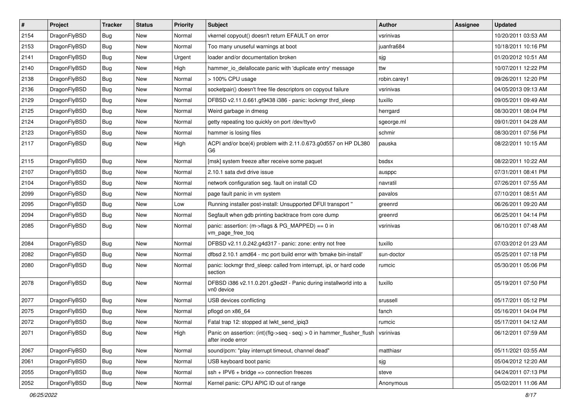| $\pmb{\#}$ | Project      | <b>Tracker</b> | <b>Status</b> | <b>Priority</b> | <b>Subject</b>                                                                                                                                | <b>Author</b> | Assignee | <b>Updated</b>      |
|------------|--------------|----------------|---------------|-----------------|-----------------------------------------------------------------------------------------------------------------------------------------------|---------------|----------|---------------------|
| 2154       | DragonFlyBSD | Bug            | <b>New</b>    | Normal          | vkernel copyout() doesn't return EFAULT on error                                                                                              | vsrinivas     |          | 10/20/2011 03:53 AM |
| 2153       | DragonFlyBSD | Bug            | <b>New</b>    | Normal          | Too many unuseful warnings at boot                                                                                                            | juanfra684    |          | 10/18/2011 10:16 PM |
| 2141       | DragonFlyBSD | Bug            | New           | Urgent          | loader and/or documentation broken                                                                                                            | sjg           |          | 01/20/2012 10:51 AM |
| 2140       | DragonFlyBSD | Bug            | <b>New</b>    | High            | hammer_io_delallocate panic with 'duplicate entry' message                                                                                    | ttw           |          | 10/07/2011 12:22 PM |
| 2138       | DragonFlyBSD | Bug            | <b>New</b>    | Normal          | > 100% CPU usage                                                                                                                              | robin.carey1  |          | 09/26/2011 12:20 PM |
| 2136       | DragonFlyBSD | Bug            | New           | Normal          | socketpair() doesn't free file descriptors on copyout failure                                                                                 | vsrinivas     |          | 04/05/2013 09:13 AM |
| 2129       | DragonFlyBSD | Bug            | <b>New</b>    | Normal          | DFBSD v2.11.0.661.gf9438 i386 - panic: lockmgr thrd_sleep                                                                                     | tuxillo       |          | 09/05/2011 09:49 AM |
| 2125       | DragonFlyBSD | Bug            | New           | Normal          | Weird garbage in dmesg                                                                                                                        | herrgard      |          | 08/30/2011 08:04 PM |
| 2124       | DragonFlyBSD | Bug            | <b>New</b>    | Normal          | getty repeating too quickly on port /dev/ttyv0                                                                                                | sgeorge.ml    |          | 09/01/2011 04:28 AM |
| 2123       | DragonFlyBSD | Bug            | <b>New</b>    | Normal          | hammer is losing files                                                                                                                        | schmir        |          | 08/30/2011 07:56 PM |
| 2117       | DragonFlyBSD | Bug            | <b>New</b>    | High            | ACPI and/or bce(4) problem with 2.11.0.673.g0d557 on HP DL380<br>G6                                                                           | pauska        |          | 08/22/2011 10:15 AM |
| 2115       | DragonFlyBSD | Bug            | <b>New</b>    | Normal          | [msk] system freeze after receive some paquet                                                                                                 | bsdsx         |          | 08/22/2011 10:22 AM |
| 2107       | DragonFlyBSD | Bug            | New           | Normal          | 2.10.1 sata dvd drive issue                                                                                                                   | ausppc        |          | 07/31/2011 08:41 PM |
| 2104       | DragonFlyBSD | Bug            | <b>New</b>    | Normal          | network configuration seg. fault on install CD                                                                                                | navratil      |          | 07/26/2011 07:55 AM |
| 2099       | DragonFlyBSD | Bug            | New           | Normal          | page fault panic in vm system                                                                                                                 | pavalos       |          | 07/10/2011 08:51 AM |
| 2095       | DragonFlyBSD | Bug            | New           | Low             | Running installer post-install: Unsupported DFUI transport "                                                                                  | greenrd       |          | 06/26/2011 09:20 AM |
| 2094       | DragonFlyBSD | Bug            | <b>New</b>    | Normal          | Segfault when gdb printing backtrace from core dump                                                                                           | greenrd       |          | 06/25/2011 04:14 PM |
| 2085       | DragonFlyBSD | Bug            | New           | Normal          | panic: assertion: (m->flags & PG_MAPPED) == 0 in<br>vm_page_free_toq                                                                          | vsrinivas     |          | 06/10/2011 07:48 AM |
| 2084       | DragonFlyBSD | Bug            | <b>New</b>    | Normal          | DFBSD v2.11.0.242.g4d317 - panic: zone: entry not free                                                                                        | tuxillo       |          | 07/03/2012 01:23 AM |
| 2082       | DragonFlyBSD | Bug            | New           | Normal          | dfbsd 2.10.1 amd64 - mc port build error with 'bmake bin-install'                                                                             | sun-doctor    |          | 05/25/2011 07:18 PM |
| 2080       | DragonFlyBSD | Bug            | <b>New</b>    | Normal          | panic: lockmgr thrd_sleep: called from interrupt, ipi, or hard code<br>section                                                                | rumcic        |          | 05/30/2011 05:06 PM |
| 2078       | DragonFlyBSD | Bug            | New           | Normal          | DFBSD i386 v2.11.0.201.g3ed2f - Panic during installworld into a<br>vn0 device                                                                | tuxillo       |          | 05/19/2011 07:50 PM |
| 2077       | DragonFlyBSD | Bug            | <b>New</b>    | Normal          | USB devices conflicting                                                                                                                       | srussell      |          | 05/17/2011 05:12 PM |
| 2075       | DragonFlyBSD | Bug            | New           | Normal          | pflogd on x86 64                                                                                                                              | fanch         |          | 05/16/2011 04:04 PM |
| 2072       | DragonFlyBSD | Bug            | <b>New</b>    | Normal          | Fatal trap 12: stopped at lwkt_send_ipiq3                                                                                                     | rumcic        |          | 05/17/2011 04:12 AM |
| 2071       | DragonFlyBSD | <b>Bug</b>     | New           | High            | Panic on assertion: $(int)(\text{flg}\text{-}\text{seq} \cdot \text{seq})$ > 0 in hammer_flusher_flush $\vert$ vsrinivas<br>after inode error |               |          | 06/12/2011 07:59 AM |
| 2067       | DragonFlyBSD | <b>Bug</b>     | New           | Normal          | sound/pcm: "play interrupt timeout, channel dead"                                                                                             | matthiasr     |          | 05/11/2021 03:55 AM |
| 2061       | DragonFlyBSD | <b>Bug</b>     | New           | Normal          | USB keyboard boot panic                                                                                                                       | sjg           |          | 05/04/2012 12:20 AM |
| 2055       | DragonFlyBSD | Bug            | New           | Normal          | $ssh + IPV6 + bridge \Rightarrow connection freezes$                                                                                          | steve         |          | 04/24/2011 07:13 PM |
| 2052       | DragonFlyBSD | Bug            | New           | Normal          | Kernel panic: CPU APIC ID out of range                                                                                                        | Anonymous     |          | 05/02/2011 11:06 AM |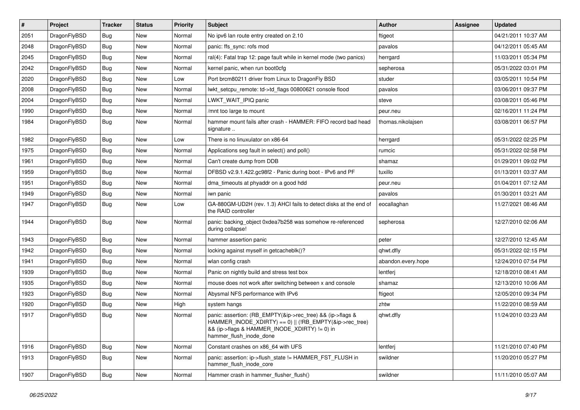| $\vert$ # | Project      | <b>Tracker</b> | <b>Status</b> | <b>Priority</b> | <b>Subject</b>                                                                                                                                                                                    | Author             | Assignee | <b>Updated</b>      |
|-----------|--------------|----------------|---------------|-----------------|---------------------------------------------------------------------------------------------------------------------------------------------------------------------------------------------------|--------------------|----------|---------------------|
| 2051      | DragonFlyBSD | <b>Bug</b>     | <b>New</b>    | Normal          | No ipv6 lan route entry created on 2.10                                                                                                                                                           | ftigeot            |          | 04/21/2011 10:37 AM |
| 2048      | DragonFlyBSD | <b>Bug</b>     | <b>New</b>    | Normal          | panic: ffs sync: rofs mod                                                                                                                                                                         | pavalos            |          | 04/12/2011 05:45 AM |
| 2045      | DragonFlyBSD | <b>Bug</b>     | <b>New</b>    | Normal          | ral(4): Fatal trap 12: page fault while in kernel mode (two panics)                                                                                                                               | herrgard           |          | 11/03/2011 05:34 PM |
| 2042      | DragonFlyBSD | Bug            | <b>New</b>    | Normal          | kernel panic, when run boot0cfg                                                                                                                                                                   | sepherosa          |          | 05/31/2022 03:01 PM |
| 2020      | DragonFlyBSD | <b>Bug</b>     | <b>New</b>    | Low             | Port brcm80211 driver from Linux to DragonFly BSD                                                                                                                                                 | studer             |          | 03/05/2011 10:54 PM |
| 2008      | DragonFlyBSD | <b>Bug</b>     | New           | Normal          | lwkt_setcpu_remote: td->td_flags 00800621 console flood                                                                                                                                           | pavalos            |          | 03/06/2011 09:37 PM |
| 2004      | DragonFlyBSD | Bug            | <b>New</b>    | Normal          | LWKT_WAIT_IPIQ panic                                                                                                                                                                              | steve              |          | 03/08/2011 05:46 PM |
| 1990      | DragonFlyBSD | <b>Bug</b>     | <b>New</b>    | Normal          | /mnt too large to mount                                                                                                                                                                           | peur.neu           |          | 02/16/2011 11:24 PM |
| 1984      | DragonFlyBSD | Bug            | New           | Normal          | hammer mount fails after crash - HAMMER: FIFO record bad head<br>signature                                                                                                                        | thomas.nikolajsen  |          | 03/08/2011 06:57 PM |
| 1982      | DragonFlyBSD | <b>Bug</b>     | <b>New</b>    | Low             | There is no linuxulator on x86-64                                                                                                                                                                 | herrgard           |          | 05/31/2022 02:25 PM |
| 1975      | DragonFlyBSD | Bug            | <b>New</b>    | Normal          | Applications seg fault in select() and poll()                                                                                                                                                     | rumcic             |          | 05/31/2022 02:58 PM |
| 1961      | DragonFlyBSD | <b>Bug</b>     | <b>New</b>    | Normal          | Can't create dump from DDB                                                                                                                                                                        | shamaz             |          | 01/29/2011 09:02 PM |
| 1959      | DragonFlyBSD | Bug            | New           | Normal          | DFBSD v2.9.1.422.gc98f2 - Panic during boot - IPv6 and PF                                                                                                                                         | tuxillo            |          | 01/13/2011 03:37 AM |
| 1951      | DragonFlyBSD | <b>Bug</b>     | <b>New</b>    | Normal          | dma timeouts at phyaddr on a good hdd                                                                                                                                                             | peur.neu           |          | 01/04/2011 07:12 AM |
| 1949      | DragonFlyBSD | <b>Bug</b>     | <b>New</b>    | Normal          | iwn panic                                                                                                                                                                                         | pavalos            |          | 01/30/2011 03:21 AM |
| 1947      | DragonFlyBSD | Bug            | New           | Low             | GA-880GM-UD2H (rev. 1.3) AHCI fails to detect disks at the end of<br>the RAID controller                                                                                                          | eocallaghan        |          | 11/27/2021 08:46 AM |
| 1944      | DragonFlyBSD | Bug            | New           | Normal          | panic: backing object 0xdea7b258 was somehow re-referenced<br>during collapse!                                                                                                                    | sepherosa          |          | 12/27/2010 02:06 AM |
| 1943      | DragonFlyBSD | <b>Bug</b>     | <b>New</b>    | Normal          | hammer assertion panic                                                                                                                                                                            | peter              |          | 12/27/2010 12:45 AM |
| 1942      | DragonFlyBSD | Bug            | <b>New</b>    | Normal          | locking against myself in getcacheblk()?                                                                                                                                                          | qhwt.dfly          |          | 05/31/2022 02:15 PM |
| 1941      | DragonFlyBSD | <b>Bug</b>     | <b>New</b>    | Normal          | wlan config crash                                                                                                                                                                                 | abandon.every.hope |          | 12/24/2010 07:54 PM |
| 1939      | DragonFlyBSD | <b>Bug</b>     | New           | Normal          | Panic on nightly build and stress test box                                                                                                                                                        | lentferj           |          | 12/18/2010 08:41 AM |
| 1935      | DragonFlyBSD | Bug            | <b>New</b>    | Normal          | mouse does not work after switching between x and console                                                                                                                                         | shamaz             |          | 12/13/2010 10:06 AM |
| 1923      | DragonFlyBSD | <b>Bug</b>     | <b>New</b>    | Normal          | Abysmal NFS performance with IPv6                                                                                                                                                                 | ftigeot            |          | 12/05/2010 09:34 PM |
| 1920      | DragonFlyBSD | <b>Bug</b>     | New           | High            | system hangs                                                                                                                                                                                      | zhtw               |          | 11/22/2010 08:59 AM |
| 1917      | DragonFlyBSD | Bug            | <b>New</b>    | Normal          | panic: assertion: (RB_EMPTY(&ip->rec_tree) && (ip->flags &<br>HAMMER_INODE_XDIRTY) == 0)    (!RB_EMPTY(&ip->rec_tree)<br>&& (ip->flags & HAMMER INODE XDIRTY) != 0) in<br>hammer flush inode done | qhwt.dfly          |          | 11/24/2010 03:23 AM |
| 1916      | DragonFlyBSD | <b>Bug</b>     | New           | Normal          | Constant crashes on x86_64 with UFS                                                                                                                                                               | lentferj           |          | 11/21/2010 07:40 PM |
| 1913      | DragonFlyBSD | <b>Bug</b>     | New           | Normal          | panic: assertion: ip->flush_state != HAMMER_FST_FLUSH in<br>hammer_flush_inode_core                                                                                                               | swildner           |          | 11/20/2010 05:27 PM |
| 1907      | DragonFlyBSD | <b>Bug</b>     | New           | Normal          | Hammer crash in hammer_flusher_flush()                                                                                                                                                            | swildner           |          | 11/11/2010 05:07 AM |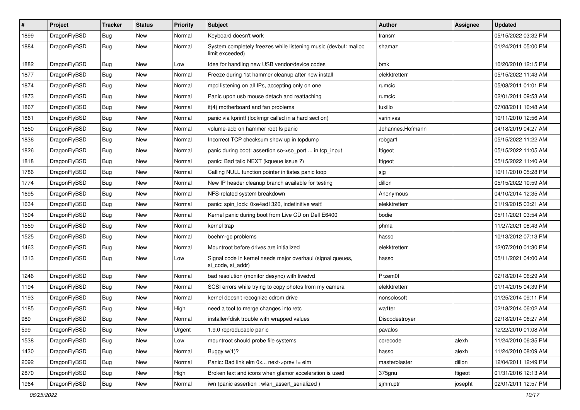| $\sharp$ | Project      | <b>Tracker</b> | <b>Status</b> | <b>Priority</b> | Subject                                                                            | <b>Author</b>    | <b>Assignee</b> | <b>Updated</b>      |
|----------|--------------|----------------|---------------|-----------------|------------------------------------------------------------------------------------|------------------|-----------------|---------------------|
| 1899     | DragonFlyBSD | <b>Bug</b>     | New           | Normal          | Keyboard doesn't work                                                              | fransm           |                 | 05/15/2022 03:32 PM |
| 1884     | DragonFlyBSD | <b>Bug</b>     | New           | Normal          | System completely freezes while listening music (devbuf: malloc<br>limit exceeded) | shamaz           |                 | 01/24/2011 05:00 PM |
| 1882     | DragonFlyBSD | <b>Bug</b>     | <b>New</b>    | Low             | Idea for handling new USB vendor/device codes                                      | bmk              |                 | 10/20/2010 12:15 PM |
| 1877     | DragonFlyBSD | <b>Bug</b>     | <b>New</b>    | Normal          | Freeze during 1st hammer cleanup after new install                                 | elekktretterr    |                 | 05/15/2022 11:43 AM |
| 1874     | DragonFlyBSD | <b>Bug</b>     | New           | Normal          | mpd listening on all IPs, accepting only on one                                    | rumcic           |                 | 05/08/2011 01:01 PM |
| 1873     | DragonFlyBSD | <b>Bug</b>     | New           | Normal          | Panic upon usb mouse detach and reattaching                                        | rumcic           |                 | 02/01/2011 09:53 AM |
| 1867     | DragonFlyBSD | <b>Bug</b>     | <b>New</b>    | Normal          | it(4) motherboard and fan problems                                                 | tuxillo          |                 | 07/08/2011 10:48 AM |
| 1861     | DragonFlyBSD | <b>Bug</b>     | New           | Normal          | panic via kprintf (lockmgr called in a hard section)                               | vsrinivas        |                 | 10/11/2010 12:56 AM |
| 1850     | DragonFlyBSD | <b>Bug</b>     | <b>New</b>    | Normal          | volume-add on hammer root fs panic                                                 | Johannes.Hofmann |                 | 04/18/2019 04:27 AM |
| 1836     | DragonFlyBSD | <b>Bug</b>     | <b>New</b>    | Normal          | Incorrect TCP checksum show up in tcpdump                                          | robgar1          |                 | 05/15/2022 11:22 AM |
| 1826     | DragonFlyBSD | <b>Bug</b>     | <b>New</b>    | Normal          | panic during boot: assertion so->so_port  in tcp_input                             | ftigeot          |                 | 05/15/2022 11:05 AM |
| 1818     | DragonFlyBSD | <b>Bug</b>     | <b>New</b>    | Normal          | panic: Bad tailq NEXT (kqueue issue ?)                                             | ftigeot          |                 | 05/15/2022 11:40 AM |
| 1786     | DragonFlyBSD | <b>Bug</b>     | <b>New</b>    | Normal          | Calling NULL function pointer initiates panic loop                                 | sjg              |                 | 10/11/2010 05:28 PM |
| 1774     | DragonFlyBSD | <b>Bug</b>     | New           | Normal          | New IP header cleanup branch available for testing                                 | dillon           |                 | 05/15/2022 10:59 AM |
| 1695     | DragonFlyBSD | <b>Bug</b>     | <b>New</b>    | Normal          | NFS-related system breakdown                                                       | Anonymous        |                 | 04/10/2014 12:35 AM |
| 1634     | DragonFlyBSD | <b>Bug</b>     | New           | Normal          | panic: spin lock: 0xe4ad1320, indefinitive wait!                                   | elekktretterr    |                 | 01/19/2015 03:21 AM |
| 1594     | DragonFlyBSD | <b>Bug</b>     | <b>New</b>    | Normal          | Kernel panic during boot from Live CD on Dell E6400                                | bodie            |                 | 05/11/2021 03:54 AM |
| 1559     | DragonFlyBSD | <b>Bug</b>     | New           | Normal          | kernel trap                                                                        | phma             |                 | 11/27/2021 08:43 AM |
| 1525     | DragonFlyBSD | <b>Bug</b>     | New           | Normal          | boehm-gc problems                                                                  | hasso            |                 | 10/13/2012 07:13 PM |
| 1463     | DragonFlyBSD | <b>Bug</b>     | New           | Normal          | Mountroot before drives are initialized                                            | elekktretterr    |                 | 12/07/2010 01:30 PM |
| 1313     | DragonFlyBSD | <b>Bug</b>     | New           | Low             | Signal code in kernel needs major overhaul (signal queues,<br>si_code, si_addr)    | hasso            |                 | 05/11/2021 04:00 AM |
| 1246     | DragonFlyBSD | <b>Bug</b>     | <b>New</b>    | Normal          | bad resolution (monitor desync) with livedvd                                       | Przem0l          |                 | 02/18/2014 06:29 AM |
| 1194     | DragonFlyBSD | <b>Bug</b>     | New           | Normal          | SCSI errors while trying to copy photos from my camera                             | elekktretterr    |                 | 01/14/2015 04:39 PM |
| 1193     | DragonFlyBSD | <b>Bug</b>     | New           | Normal          | kernel doesn't recognize cdrom drive                                               | nonsolosoft      |                 | 01/25/2014 09:11 PM |
| 1185     | DragonFlyBSD | <b>Bug</b>     | <b>New</b>    | High            | need a tool to merge changes into /etc                                             | wa1ter           |                 | 02/18/2014 06:02 AM |
| 989      | DragonFlyBSD | <b>Bug</b>     | New           | Normal          | installer/fdisk trouble with wrapped values                                        | Discodestroyer   |                 | 02/18/2014 06:27 AM |
| 599      | DragonFlyBSD | <b>Bug</b>     | New           | Urgent          | 1.9.0 reproducable panic                                                           | pavalos          |                 | 12/22/2010 01:08 AM |
| 1538     | DragonFlyBSD | <b>Bug</b>     | <b>New</b>    | Low             | mountroot should probe file systems                                                | corecode         | alexh           | 11/24/2010 06:35 PM |
| 1430     | DragonFlyBSD | <b>Bug</b>     | <b>New</b>    | Normal          | Buggy w(1)?                                                                        | hasso            | alexh           | 11/24/2010 08:09 AM |
| 2092     | DragonFlyBSD | <b>Bug</b>     | New           | Normal          | Panic: Bad link elm 0x next->prev != elm                                           | masterblaster    | dillon          | 12/04/2011 12:49 PM |
| 2870     | DragonFlyBSD | <b>Bug</b>     | <b>New</b>    | High            | Broken text and icons when glamor acceleration is used                             | 375gnu           | ftigeot         | 01/31/2016 12:13 AM |
| 1964     | DragonFlyBSD | <b>Bug</b>     | New           | Normal          | iwn (panic assertion : wlan_assert_serialized)                                     | sjmm.ptr         | josepht         | 02/01/2011 12:57 PM |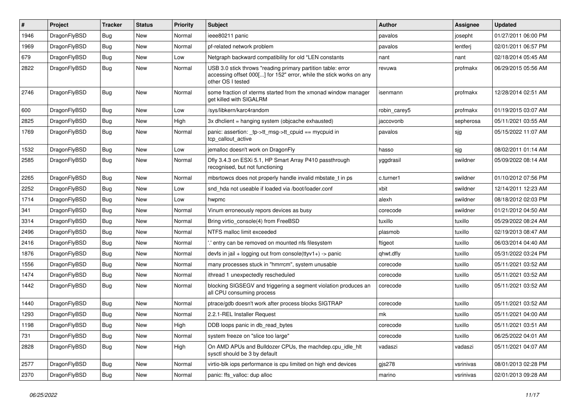| #    | Project      | <b>Tracker</b> | <b>Status</b> | <b>Priority</b> | Subject                                                                                                                                                  | Author       | Assignee  | <b>Updated</b>      |
|------|--------------|----------------|---------------|-----------------|----------------------------------------------------------------------------------------------------------------------------------------------------------|--------------|-----------|---------------------|
| 1946 | DragonFlyBSD | <b>Bug</b>     | <b>New</b>    | Normal          | ieee80211 panic                                                                                                                                          | pavalos      | josepht   | 01/27/2011 06:00 PM |
| 1969 | DragonFlyBSD | <b>Bug</b>     | <b>New</b>    | Normal          | pf-related network problem                                                                                                                               | pavalos      | lentferj  | 02/01/2011 06:57 PM |
| 679  | DragonFlyBSD | <b>Bug</b>     | New           | Low             | Netgraph backward compatibility for old *LEN constants                                                                                                   | nant         | nant      | 02/18/2014 05:45 AM |
| 2822 | DragonFlyBSD | <b>Bug</b>     | <b>New</b>    | Normal          | USB 3.0 stick throws "reading primary partition table: error<br>accessing offset 000[] for 152" error, while the stick works on any<br>other OS I tested | revuwa       | profmakx  | 06/29/2015 05:56 AM |
| 2746 | DragonFlyBSD | <b>Bug</b>     | New           | Normal          | some fraction of xterms started from the xmonad window manager<br>aet killed with SIGALRM                                                                | isenmann     | profmakx  | 12/28/2014 02:51 AM |
| 600  | DragonFlyBSD | <b>Bug</b>     | <b>New</b>    | Low             | /sys/libkern/karc4random                                                                                                                                 | robin carey5 | profmakx  | 01/19/2015 03:07 AM |
| 2825 | DragonFlyBSD | <b>Bug</b>     | New           | High            | 3x dhclient = hanging system (objcache exhausted)                                                                                                        | jaccovonb    | sepherosa | 05/11/2021 03:55 AM |
| 1769 | DragonFlyBSD | <b>Bug</b>     | New           | Normal          | panic: assertion: _tp->tt_msg->tt_cpuid == mycpuid in<br>tcp callout active                                                                              | pavalos      | sjg       | 05/15/2022 11:07 AM |
| 1532 | DragonFlyBSD | Bug            | <b>New</b>    | Low             | jemalloc doesn't work on DragonFly                                                                                                                       | hasso        | sjg       | 08/02/2011 01:14 AM |
| 2585 | DragonFlyBSD | <b>Bug</b>     | New           | Normal          | Dfly 3.4.3 on ESXi 5.1, HP Smart Array P410 passthrough<br>recognised, but not functioning                                                               | yggdrasil    | swildner  | 05/09/2022 08:14 AM |
| 2265 | DragonFlyBSD | Bug            | New           | Normal          | mbsrtowcs does not properly handle invalid mbstate_t in ps                                                                                               | c.turner1    | swildner  | 01/10/2012 07:56 PM |
| 2252 | DragonFlyBSD | Bug            | <b>New</b>    | Low             | snd hda not useable if loaded via /boot/loader.conf                                                                                                      | xbit         | swildner  | 12/14/2011 12:23 AM |
| 1714 | DragonFlyBSD | Bug            | New           | Low             | hwpmc                                                                                                                                                    | alexh        | swildner  | 08/18/2012 02:03 PM |
| 341  | DragonFlyBSD | Bug            | <b>New</b>    | Normal          | Vinum erroneously repors devices as busy                                                                                                                 | corecode     | swildner  | 01/21/2012 04:50 AM |
| 3314 | DragonFlyBSD | Bug            | <b>New</b>    | Normal          | Bring virtio console(4) from FreeBSD                                                                                                                     | tuxillo      | tuxillo   | 05/29/2022 08:24 AM |
| 2496 | DragonFlyBSD | Bug            | New           | Normal          | NTFS malloc limit exceeded                                                                                                                               | plasmob      | tuxillo   | 02/19/2013 08:47 AM |
| 2416 | DragonFlyBSD | Bug            | New           | Normal          | ".' entry can be removed on mounted nfs filesystem                                                                                                       | ftigeot      | tuxillo   | 06/03/2014 04:40 AM |
| 1876 | DragonFlyBSD | Bug            | New           | Normal          | devfs in jail + logging out from console(ttyv1+) -> panic                                                                                                | qhwt.dfly    | tuxillo   | 05/31/2022 03:24 PM |
| 1556 | DragonFlyBSD | Bug            | <b>New</b>    | Normal          | many processes stuck in "hmrrcm", system unusable                                                                                                        | corecode     | tuxillo   | 05/11/2021 03:52 AM |
| 1474 | DragonFlyBSD | <b>Bug</b>     | New           | Normal          | ithread 1 unexpectedly rescheduled                                                                                                                       | corecode     | tuxillo   | 05/11/2021 03:52 AM |
| 1442 | DragonFlyBSD | Bug            | New           | Normal          | blocking SIGSEGV and triggering a segment violation produces an<br>all CPU consuming process                                                             | corecode     | tuxillo   | 05/11/2021 03:52 AM |
| 1440 | DragonFlyBSD | Bug            | New           | Normal          | ptrace/gdb doesn't work after process blocks SIGTRAP                                                                                                     | corecode     | tuxillo   | 05/11/2021 03:52 AM |
| 1293 | DragonFlyBSD | <b>Bug</b>     | New           | Normal          | 2.2.1-REL Installer Request                                                                                                                              | mk           | tuxillo   | 05/11/2021 04:00 AM |
| 1198 | DragonFlyBSD | <b>Bug</b>     | <b>New</b>    | High            | DDB loops panic in db read bytes                                                                                                                         | corecode     | tuxillo   | 05/11/2021 03:51 AM |
| 731  | DragonFlyBSD | <b>Bug</b>     | New           | Normal          | system freeze on "slice too large"                                                                                                                       | corecode     | tuxillo   | 06/25/2022 04:01 AM |
| 2828 | DragonFlyBSD | <b>Bug</b>     | New           | High            | On AMD APUs and Bulldozer CPUs, the machdep.cpu_idle_hlt<br>sysctl should be 3 by default                                                                | vadaszi      | vadaszi   | 05/11/2021 04:07 AM |
| 2577 | DragonFlyBSD | <b>Bug</b>     | <b>New</b>    | Normal          | virtio-blk iops performance is cpu limited on high end devices                                                                                           | gjs278       | vsrinivas | 08/01/2013 02:28 PM |
| 2370 | DragonFlyBSD | <b>Bug</b>     | New           | Normal          | panic: ffs_valloc: dup alloc                                                                                                                             | marino       | vsrinivas | 02/01/2013 09:28 AM |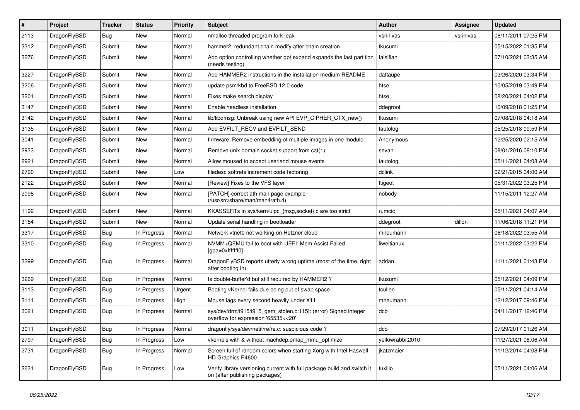| $\pmb{\#}$ | Project      | <b>Tracker</b> | <b>Status</b> | <b>Priority</b> | <b>Subject</b>                                                                                            | <b>Author</b>    | Assignee  | Updated             |
|------------|--------------|----------------|---------------|-----------------|-----------------------------------------------------------------------------------------------------------|------------------|-----------|---------------------|
| 2113       | DragonFlyBSD | <b>Bug</b>     | <b>New</b>    | Normal          | nmalloc threaded program fork leak                                                                        | vsrinivas        | vsrinivas | 08/11/2011 07:25 PM |
| 3312       | DragonFlyBSD | Submit         | New           | Normal          | hammer2: redundant chain modify after chain creation                                                      | tkusumi          |           | 05/15/2022 01:35 PM |
| 3276       | DragonFlyBSD | Submit         | New           | Normal          | Add option controlling whether gpt expand expands the last partition<br>(needs testing)                   | falsifian        |           | 07/10/2021 03:35 AM |
| 3227       | DragonFlyBSD | Submit         | <b>New</b>    | Normal          | Add HAMMER2 instructions in the installation medium README                                                | daftaupe         |           | 03/26/2020 03:34 PM |
| 3206       | DragonFlyBSD | Submit         | New           | Normal          | update psm/kbd to FreeBSD 12.0 code                                                                       | htse             |           | 10/05/2019 03:49 PM |
| 3201       | DragonFlyBSD | Submit         | <b>New</b>    | Normal          | Fixes make search display                                                                                 | htse             |           | 08/20/2021 04:02 PM |
| 3147       | DragonFlyBSD | Submit         | <b>New</b>    | Normal          | Enable headless installation                                                                              | ddegroot         |           | 10/09/2018 01:25 PM |
| 3142       | DragonFlyBSD | Submit         | <b>New</b>    | Normal          | lib/libdmsg: Unbreak using new API EVP CIPHER CTX new()                                                   | tkusumi          |           | 07/08/2018 04:18 AM |
| 3135       | DragonFlyBSD | Submit         | <b>New</b>    | Normal          | Add EVFILT_RECV and EVFILT_SEND                                                                           | tautolog         |           | 05/25/2018 09:59 PM |
| 3041       | DragonFlyBSD | Submit         | <b>New</b>    | Normal          | firmware: Remove embedding of multiple images in one module.                                              | Anonymous        |           | 12/25/2020 02:15 AM |
| 2933       | DragonFlyBSD | Submit         | <b>New</b>    | Normal          | Remove unix domain socket support from cat(1)                                                             | sevan            |           | 08/01/2016 08:10 PM |
| 2921       | DragonFlyBSD | Submit         | <b>New</b>    | Normal          | Allow moused to accept userland mouse events                                                              | tautolog         |           | 05/11/2021 04:08 AM |
| 2790       | DragonFlyBSD | Submit         | New           | Low             | filedesc softrefs increment code factoring                                                                | dclink           |           | 02/21/2015 04:00 AM |
| 2122       | DragonFlyBSD | Submit         | New           | Normal          | [Review] Fixes to the VFS layer                                                                           | ftigeot          |           | 05/31/2022 03:25 PM |
| 2098       | DragonFlyBSD | Submit         | New           | Normal          | [PATCH] correct ath man page example<br>(/usr/src/share/man/man4/ath.4)                                   | nobody           |           | 11/15/2011 12:27 AM |
| 1192       | DragonFlyBSD | Submit         | <b>New</b>    | Normal          | KKASSERTs in sys/kern/uipc_{msg,socket}.c are too strict                                                  | rumcic           |           | 05/11/2021 04:07 AM |
| 3154       | DragonFlyBSD | Submit         | New           | Normal          | Update serial handling in bootloader                                                                      | ddegroot         | dillon    | 11/06/2018 11:21 PM |
| 3317       | DragonFlyBSD | Bug            | In Progress   | Normal          | Network vtnet0 not working on Hetzner cloud                                                               | mneumann         |           | 06/18/2022 03:55 AM |
| 3310       | DragonFlyBSD | <b>Bug</b>     | In Progress   | Normal          | NVMM+QEMU fail to boot with UEFI: Mem Assist Failed<br>[gpa=0xfffffff0]                                   | liweitianux      |           | 01/11/2022 03:22 PM |
| 3299       | DragonFlyBSD | Bug            | In Progress   | Normal          | Dragon FlyBSD reports utterly wrong uptime (most of the time, right<br>after booting in)                  | adrian           |           | 11/11/2021 01:43 PM |
| 3269       | DragonFlyBSD | Bug            | In Progress   | Normal          | Is double-buffer'd buf still required by HAMMER2?                                                         | tkusumi          |           | 05/12/2021 04:09 PM |
| 3113       | DragonFlyBSD | Bug            | In Progress   | Urgent          | Booting vKernel fails due being out of swap space                                                         | tcullen          |           | 05/11/2021 04:14 AM |
| 3111       | DragonFlyBSD | <b>Bug</b>     | In Progress   | High            | Mouse lags every second heavily under X11                                                                 | mneumann         |           | 12/12/2017 09:46 PM |
| 3021       | DragonFlyBSD | Bug            | In Progress   | Normal          | sys/dev/drm/i915/i915_gem_stolen.c:115]: (error) Signed integer<br>overflow for expression '65535<<20'    | dcb              |           | 04/11/2017 12:46 PM |
| 3011       | DragonFlyBSD | <b>Bug</b>     | In Progress   | Normal          | dragonfly/sys/dev/netif/re/re.c: suspicious code?                                                         | dcb              |           | 07/29/2017 01:26 AM |
| 2797       | DragonFlyBSD | <b>Bug</b>     | In Progress   | Low             | vkernels with & without machdep.pmap mmu optimize                                                         | yellowrabbit2010 |           | 11/27/2021 08:06 AM |
| 2731       | DragonFlyBSD | <b>Bug</b>     | In Progress   | Normal          | Screen full of random colors when starting Xorg with Intel Haswell<br>HD Graphics P4600                   | ikatzmaier       |           | 11/12/2014 04:08 PM |
| 2631       | DragonFlyBSD | Bug            | In Progress   | Low             | Verify library versioning current with full package build and switch it<br>on (after publishing packages) | tuxillo          |           | 05/11/2021 04:06 AM |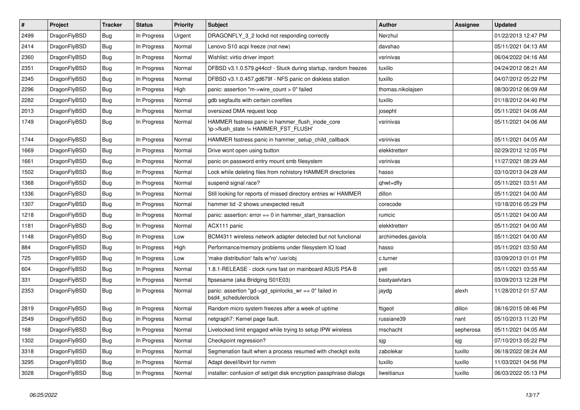| $\vert$ # | <b>Project</b> | <b>Tracker</b> | <b>Status</b> | <b>Priority</b> | <b>Subject</b>                                                                            | <b>Author</b>      | Assignee  | <b>Updated</b>      |
|-----------|----------------|----------------|---------------|-----------------|-------------------------------------------------------------------------------------------|--------------------|-----------|---------------------|
| 2499      | DragonFlyBSD   | Bug            | In Progress   | Urgent          | DRAGONFLY_3_2 lockd not responding correctly                                              | Nerzhul            |           | 01/22/2013 12:47 PM |
| 2414      | DragonFlyBSD   | Bug            | In Progress   | Normal          | Lenovo S10 acpi freeze (not new)                                                          | davshao            |           | 05/11/2021 04:13 AM |
| 2360      | DragonFlyBSD   | Bug            | In Progress   | Normal          | Wishlist: virtio driver import                                                            | vsrinivas          |           | 06/04/2022 04:16 AM |
| 2351      | DragonFlyBSD   | <b>Bug</b>     | In Progress   | Normal          | DFBSD v3.1.0.579.g44ccf - Stuck during startup, random freezes                            | tuxillo            |           | 04/24/2012 08:21 AM |
| 2345      | DragonFlyBSD   | Bug            | In Progress   | Normal          | DFBSD v3.1.0.457.gd679f - NFS panic on diskless station                                   | tuxillo            |           | 04/07/2012 05:22 PM |
| 2296      | DragonFlyBSD   | <b>Bug</b>     | In Progress   | High            | panic: assertion "m->wire count > 0" failed                                               | thomas.nikolajsen  |           | 08/30/2012 06:09 AM |
| 2282      | DragonFlyBSD   | Bug            | In Progress   | Normal          | gdb segfaults with certain corefiles                                                      | tuxillo            |           | 01/18/2012 04:40 PM |
| 2013      | DragonFlyBSD   | Bug            | In Progress   | Normal          | oversized DMA request loop                                                                | josepht            |           | 05/11/2021 04:06 AM |
| 1749      | DragonFlyBSD   | <b>Bug</b>     | In Progress   | Normal          | HAMMER fsstress panic in hammer_flush_inode_core<br>'ip->flush_state != HAMMER_FST_FLUSH' | vsrinivas          |           | 05/11/2021 04:06 AM |
| 1744      | DragonFlyBSD   | <b>Bug</b>     | In Progress   | Normal          | HAMMER fsstress panic in hammer_setup_child_callback                                      | vsrinivas          |           | 05/11/2021 04:05 AM |
| 1669      | DragonFlyBSD   | Bug            | In Progress   | Normal          | Drive wont open using button                                                              | elekktretterr      |           | 02/29/2012 12:05 PM |
| 1661      | DragonFlyBSD   | Bug            | In Progress   | Normal          | panic on password entry mount smb filesystem                                              | vsrinivas          |           | 11/27/2021 08:29 AM |
| 1502      | DragonFlyBSD   | Bug            | In Progress   | Normal          | Lock while deleting files from nohistory HAMMER directories                               | hasso              |           | 03/10/2013 04:28 AM |
| 1368      | DragonFlyBSD   | Bug            | In Progress   | Normal          | suspend signal race?                                                                      | qhwt+dfly          |           | 05/11/2021 03:51 AM |
| 1336      | DragonFlyBSD   | Bug            | In Progress   | Normal          | Still looking for reports of missed directory entries w/ HAMMER                           | dillon             |           | 05/11/2021 04:00 AM |
| 1307      | DragonFlyBSD   | <b>Bug</b>     | In Progress   | Normal          | hammer tid -2 shows unexpected result                                                     | corecode           |           | 10/18/2016 05:29 PM |
| 1218      | DragonFlyBSD   | <b>Bug</b>     | In Progress   | Normal          | panic: assertion: $error == 0$ in hammer start transaction                                | rumcic             |           | 05/11/2021 04:00 AM |
| 1181      | DragonFlyBSD   | Bug            | In Progress   | Normal          | ACX111 panic                                                                              | elekktretterr      |           | 05/11/2021 04:00 AM |
| 1148      | DragonFlyBSD   | Bug            | In Progress   | Low             | BCM4311 wireless network adapter detected but not functional                              | archimedes.gaviola |           | 05/11/2021 04:00 AM |
| 884       | DragonFlyBSD   | <b>Bug</b>     | In Progress   | High            | Performance/memory problems under filesystem IO load                                      | hasso              |           | 05/11/2021 03:50 AM |
| 725       | DragonFlyBSD   | <b>Bug</b>     | In Progress   | Low             | 'make distribution' fails w/'ro' /usr/obj                                                 | c.turner           |           | 03/09/2013 01:01 PM |
| 604       | DragonFlyBSD   | Bug            | In Progress   | Normal          | 1.8.1-RELEASE - clock runs fast on mainboard ASUS P5A-B                                   | veti               |           | 05/11/2021 03:55 AM |
| 331       | DragonFlyBSD   | Bug            | In Progress   | Normal          | ftpsesame (aka Bridging S01E03)                                                           | bastyaelvtars      |           | 03/09/2013 12:28 PM |
| 2353      | DragonFlyBSD   | Bug            | In Progress   | Normal          | panic: assertion "gd->gd spinlocks $wr == 0$ " failed in<br>bsd4 schedulerclock           | jaydg              | alexh     | 11/28/2012 01:57 AM |
| 2819      | DragonFlyBSD   | Bug            | In Progress   | Normal          | Random micro system freezes after a week of uptime                                        | ftigeot            | dillon    | 08/16/2015 08:46 PM |
| 2549      | DragonFlyBSD   | <b>Bug</b>     | In Progress   | Normal          | netgraph7: Kernel page fault.                                                             | russiane39         | nant      | 05/10/2013 11:20 PM |
| 168       | DragonFlyBSD   | <b>Bug</b>     | In Progress   | Normal          | Livelocked limit engaged while trying to setup IPW wireless                               | mschacht           | sepherosa | 05/11/2021 04:05 AM |
| 1302      | DragonFlyBSD   | <b>Bug</b>     | In Progress   | Normal          | Checkpoint regression?                                                                    | sjg                | sjg       | 07/10/2013 05:22 PM |
| 3318      | DragonFlyBSD   | Bug            | In Progress   | Normal          | Segmenation fault when a process resumed with checkpt exits                               | zabolekar          | tuxillo   | 06/18/2022 08:24 AM |
| 3295      | DragonFlyBSD   | <b>Bug</b>     | In Progress   | Normal          | Adapt devel/libvirt for nvmm                                                              | tuxillo            | tuxillo   | 11/03/2021 04:56 PM |
| 3028      | DragonFlyBSD   | <b>Bug</b>     | In Progress   | Normal          | installer: confusion of set/get disk encryption passphrase dialogs                        | liweitianux        | tuxillo   | 06/03/2022 05:13 PM |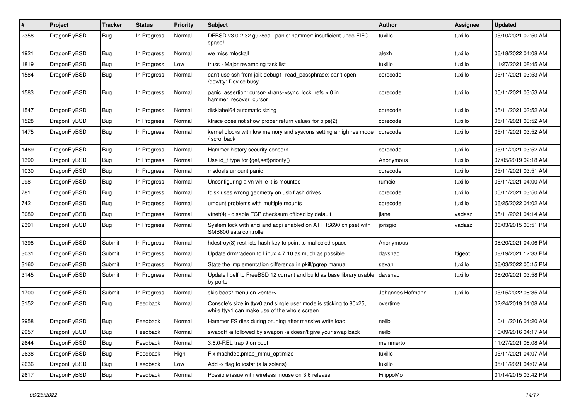| $\#$ | Project      | <b>Tracker</b> | <b>Status</b> | <b>Priority</b> | <b>Subject</b>                                                                                                     | Author           | Assignee | <b>Updated</b>      |
|------|--------------|----------------|---------------|-----------------|--------------------------------------------------------------------------------------------------------------------|------------------|----------|---------------------|
| 2358 | DragonFlyBSD | <b>Bug</b>     | In Progress   | Normal          | DFBSD v3.0.2.32.g928ca - panic: hammer: insufficient undo FIFO<br>space!                                           | tuxillo          | tuxillo  | 05/10/2021 02:50 AM |
| 1921 | DragonFlyBSD | <b>Bug</b>     | In Progress   | Normal          | we miss mlockall                                                                                                   | alexh            | tuxillo  | 06/18/2022 04:08 AM |
| 1819 | DragonFlyBSD | <b>Bug</b>     | In Progress   | Low             | truss - Major revamping task list                                                                                  | tuxillo          | tuxillo  | 11/27/2021 08:45 AM |
| 1584 | DragonFlyBSD | <b>Bug</b>     | In Progress   | Normal          | can't use ssh from jail: debug1: read_passphrase: can't open<br>/dev/tty: Device busy                              | corecode         | tuxillo  | 05/11/2021 03:53 AM |
| 1583 | DragonFlyBSD | Bug            | In Progress   | Normal          | panic: assertion: cursor->trans->sync_lock_refs > 0 in<br>hammer_recover_cursor                                    | corecode         | tuxillo  | 05/11/2021 03:53 AM |
| 1547 | DragonFlyBSD | Bug            | In Progress   | Normal          | disklabel64 automatic sizing                                                                                       | corecode         | tuxillo  | 05/11/2021 03:52 AM |
| 1528 | DragonFlyBSD | Bug            | In Progress   | Normal          | ktrace does not show proper return values for pipe(2)                                                              | corecode         | tuxillo  | 05/11/2021 03:52 AM |
| 1475 | DragonFlyBSD | <b>Bug</b>     | In Progress   | Normal          | kernel blocks with low memory and syscons setting a high res mode<br>/ scrollback                                  | corecode         | tuxillo  | 05/11/2021 03:52 AM |
| 1469 | DragonFlyBSD | Bug            | In Progress   | Normal          | Hammer history security concern                                                                                    | corecode         | tuxillo  | 05/11/2021 03:52 AM |
| 1390 | DragonFlyBSD | Bug            | In Progress   | Normal          | Use id_t type for {get,set}priority()                                                                              | Anonymous        | tuxillo  | 07/05/2019 02:18 AM |
| 1030 | DragonFlyBSD | Bug            | In Progress   | Normal          | msdosfs umount panic                                                                                               | corecode         | tuxillo  | 05/11/2021 03:51 AM |
| 998  | DragonFlyBSD | Bug            | In Progress   | Normal          | Unconfiguring a vn while it is mounted                                                                             | rumcic           | tuxillo  | 05/11/2021 04:00 AM |
| 781  | DragonFlyBSD | Bug            | In Progress   | Normal          | fdisk uses wrong geometry on usb flash drives                                                                      | corecode         | tuxillo  | 05/11/2021 03:50 AM |
| 742  | DragonFlyBSD | Bug            | In Progress   | Normal          | umount problems with multiple mounts                                                                               | corecode         | tuxillo  | 06/25/2022 04:02 AM |
| 3089 | DragonFlyBSD | Bug            | In Progress   | Normal          | vtnet(4) - disable TCP checksum offload by default                                                                 | jlane            | vadaszi  | 05/11/2021 04:14 AM |
| 2391 | DragonFlyBSD | Bug            | In Progress   | Normal          | System lock with ahci and acpi enabled on ATI RS690 chipset with<br>SMB600 sata controller                         | jorisgio         | vadaszi  | 06/03/2015 03:51 PM |
| 1398 | DragonFlyBSD | Submit         | In Progress   | Normal          | hdestroy(3) restricts hash key to point to malloc'ed space                                                         | Anonymous        |          | 08/20/2021 04:06 PM |
| 3031 | DragonFlyBSD | Submit         | In Progress   | Normal          | Update drm/radeon to Linux 4.7.10 as much as possible                                                              | davshao          | ftigeot  | 08/19/2021 12:33 PM |
| 3160 | DragonFlyBSD | Submit         | In Progress   | Normal          | State the implementation difference in pkill/pgrep manual                                                          | sevan            | tuxillo  | 06/03/2022 05:15 PM |
| 3145 | DragonFlyBSD | Submit         | In Progress   | Normal          | Update libelf to FreeBSD 12 current and build as base library usable<br>by ports                                   | davshao          | tuxillo  | 08/20/2021 03:58 PM |
| 1700 | DragonFlyBSD | Submit         | In Progress   | Normal          | skip boot2 menu on <enter></enter>                                                                                 | Johannes.Hofmann | tuxillo  | 05/15/2022 08:35 AM |
| 3152 | DragonFlyBSD | Bug            | Feedback      | Normal          | Console's size in ttyv0 and single user mode is sticking to 80x25,<br>while ttyv1 can make use of the whole screen | overtime         |          | 02/24/2019 01:08 AM |
| 2958 | DragonFlyBSD | Bug            | Feedback      | Normal          | Hammer FS dies during pruning after massive write load                                                             | neilb            |          | 10/11/2016 04:20 AM |
| 2957 | DragonFlyBSD | <b>Bug</b>     | Feedback      | Normal          | swapoff -a followed by swapon -a doesn't give your swap back                                                       | neilb            |          | 10/09/2016 04:17 AM |
| 2644 | DragonFlyBSD | <b>Bug</b>     | Feedback      | Normal          | 3.6.0-REL trap 9 on boot                                                                                           | memmerto         |          | 11/27/2021 08:08 AM |
| 2638 | DragonFlyBSD | <b>Bug</b>     | Feedback      | High            | Fix machdep.pmap_mmu_optimize                                                                                      | tuxillo          |          | 05/11/2021 04:07 AM |
| 2636 | DragonFlyBSD | <b>Bug</b>     | Feedback      | Low             | Add -x flag to iostat (a la solaris)                                                                               | tuxillo          |          | 05/11/2021 04:07 AM |
| 2617 | DragonFlyBSD | <b>Bug</b>     | Feedback      | Normal          | Possible issue with wireless mouse on 3.6 release                                                                  | FilippoMo        |          | 01/14/2015 03:42 PM |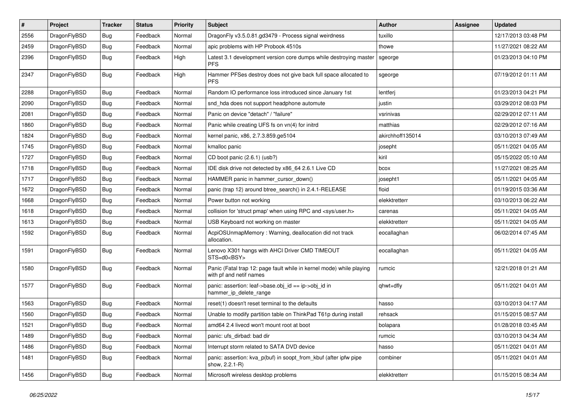| $\pmb{\#}$ | Project      | <b>Tracker</b> | <b>Status</b> | <b>Priority</b> | <b>Subject</b>                                                                                  | <b>Author</b>    | Assignee | <b>Updated</b>      |
|------------|--------------|----------------|---------------|-----------------|-------------------------------------------------------------------------------------------------|------------------|----------|---------------------|
| 2556       | DragonFlyBSD | <b>Bug</b>     | Feedback      | Normal          | DragonFly v3.5.0.81.gd3479 - Process signal weirdness                                           | tuxillo          |          | 12/17/2013 03:48 PM |
| 2459       | DragonFlyBSD | Bug            | Feedback      | Normal          | apic problems with HP Probook 4510s                                                             | thowe            |          | 11/27/2021 08:22 AM |
| 2396       | DragonFlyBSD | Bug            | Feedback      | High            | Latest 3.1 development version core dumps while destroying master<br><b>PFS</b>                 | sgeorge          |          | 01/23/2013 04:10 PM |
| 2347       | DragonFlyBSD | Bug            | Feedback      | High            | Hammer PFSes destroy does not give back full space allocated to<br><b>PFS</b>                   | sgeorge          |          | 07/19/2012 01:11 AM |
| 2288       | DragonFlyBSD | Bug            | Feedback      | Normal          | Random IO performance loss introduced since January 1st                                         | lentferj         |          | 01/23/2013 04:21 PM |
| 2090       | DragonFlyBSD | <b>Bug</b>     | Feedback      | Normal          | snd hda does not support headphone automute                                                     | justin           |          | 03/29/2012 08:03 PM |
| 2081       | DragonFlyBSD | <b>Bug</b>     | Feedback      | Normal          | Panic on device "detach" / "failure"                                                            | vsrinivas        |          | 02/29/2012 07:11 AM |
| 1860       | DragonFlyBSD | Bug            | Feedback      | Normal          | Panic while creating UFS fs on vn(4) for initrd                                                 | matthias         |          | 02/29/2012 07:16 AM |
| 1824       | DragonFlyBSD | <b>Bug</b>     | Feedback      | Normal          | kernel panic, x86, 2.7.3.859.ge5104                                                             | akirchhoff135014 |          | 03/10/2013 07:49 AM |
| 1745       | DragonFlyBSD | Bug            | Feedback      | Normal          | kmalloc panic                                                                                   | josepht          |          | 05/11/2021 04:05 AM |
| 1727       | DragonFlyBSD | <b>Bug</b>     | Feedback      | Normal          | CD boot panic (2.6.1) (usb?)                                                                    | kiril            |          | 05/15/2022 05:10 AM |
| 1718       | DragonFlyBSD | <b>Bug</b>     | Feedback      | Normal          | IDE disk drive not detected by x86_64 2.6.1 Live CD                                             | bcox             |          | 11/27/2021 08:25 AM |
| 1717       | DragonFlyBSD | Bug            | Feedback      | Normal          | HAMMER panic in hammer_cursor_down()                                                            | josepht1         |          | 05/11/2021 04:05 AM |
| 1672       | DragonFlyBSD | <b>Bug</b>     | Feedback      | Normal          | panic (trap 12) around btree_search() in 2.4.1-RELEASE                                          | floid            |          | 01/19/2015 03:36 AM |
| 1668       | DragonFlyBSD | <b>Bug</b>     | Feedback      | Normal          | Power button not working                                                                        | elekktretterr    |          | 03/10/2013 06:22 AM |
| 1618       | DragonFlyBSD | <b>Bug</b>     | Feedback      | Normal          | collision for 'struct pmap' when using RPC and <sys user.h=""></sys>                            | carenas          |          | 05/11/2021 04:05 AM |
| 1613       | DragonFlyBSD | <b>Bug</b>     | Feedback      | Normal          | USB Keyboard not working on master                                                              | elekktretterr    |          | 05/11/2021 04:05 AM |
| 1592       | DragonFlyBSD | Bug            | Feedback      | Normal          | AcpiOSUnmapMemory: Warning, deallocation did not track<br>allocation.                           | eocallaghan      |          | 06/02/2014 07:45 AM |
| 1591       | DragonFlyBSD | Bug            | Feedback      | Normal          | Lenovo X301 hangs with AHCI Driver CMD TIMEOUT<br>STS=d0 <bsy></bsy>                            | eocallaghan      |          | 05/11/2021 04:05 AM |
| 1580       | DragonFlyBSD | Bug            | Feedback      | Normal          | Panic (Fatal trap 12: page fault while in kernel mode) while playing<br>with pf and netif names | rumcic           |          | 12/21/2018 01:21 AM |
| 1577       | DragonFlyBSD | Bug            | Feedback      | Normal          | panic: assertion: leaf->base.obj_id == ip->obj_id in<br>hammer_ip_delete_range                  | qhwt+dfly        |          | 05/11/2021 04:01 AM |
| 1563       | DragonFlyBSD | Bug            | Feedback      | Normal          | reset(1) doesn't reset terminal to the defaults                                                 | hasso            |          | 03/10/2013 04:17 AM |
| 1560       | DragonFlyBSD | <b>Bug</b>     | Feedback      | Normal          | Unable to modify partition table on ThinkPad T61p during install                                | rehsack          |          | 01/15/2015 08:57 AM |
| 1521       | DragonFlyBSD | Bug            | Feedback      | Normal          | amd64 2.4 livecd won't mount root at boot                                                       | bolapara         |          | 01/28/2018 03:45 AM |
| 1489       | DragonFlyBSD | Bug            | Feedback      | Normal          | panic: ufs_dirbad: bad dir                                                                      | rumcic           |          | 03/10/2013 04:34 AM |
| 1486       | DragonFlyBSD | <b>Bug</b>     | Feedback      | Normal          | Interrupt storm related to SATA DVD device                                                      | hasso            |          | 05/11/2021 04:01 AM |
| 1481       | DragonFlyBSD | <b>Bug</b>     | Feedback      | Normal          | panic: assertion: kva p(buf) in soopt from kbuf (after ipfw pipe<br>show, 2.2.1-R)              | combiner         |          | 05/11/2021 04:01 AM |
| 1456       | DragonFlyBSD | <b>Bug</b>     | Feedback      | Normal          | Microsoft wireless desktop problems                                                             | elekktretterr    |          | 01/15/2015 08:34 AM |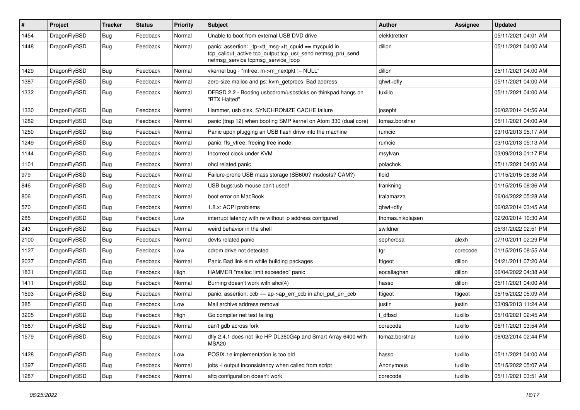| #    | Project      | <b>Tracker</b> | <b>Status</b> | <b>Priority</b> | <b>Subject</b>                                                                                                                                            | Author            | <b>Assignee</b> | <b>Updated</b>      |
|------|--------------|----------------|---------------|-----------------|-----------------------------------------------------------------------------------------------------------------------------------------------------------|-------------------|-----------------|---------------------|
| 1454 | DragonFlyBSD | Bug            | Feedback      | Normal          | Unable to boot from external USB DVD drive                                                                                                                | elekktretterr     |                 | 05/11/2021 04:01 AM |
| 1448 | DragonFlyBSD | <b>Bug</b>     | Feedback      | Normal          | panic: assertion: _tp->tt_msg->tt_cpuid == mycpuid in<br>tcp_callout_active tcp_output tcp_usr_send netmsg_pru_send<br>netmsg_service tcpmsg_service_loop | dillon            |                 | 05/11/2021 04:00 AM |
| 1429 | DragonFlyBSD | Bug            | Feedback      | Normal          | vkernel bug - "mfree: m->m_nextpkt != NULL"                                                                                                               | dillon            |                 | 05/11/2021 04:00 AM |
| 1387 | DragonFlyBSD | <b>Bug</b>     | Feedback      | Normal          | zero-size malloc and ps: kvm_getprocs: Bad address                                                                                                        | qhwt+dfly         |                 | 05/11/2021 04:00 AM |
| 1332 | DragonFlyBSD | Bug            | Feedback      | Normal          | DFBSD 2.2 - Booting usbcdrom/usbsticks on thinkpad hangs on<br>"BTX Halted"                                                                               | tuxillo           |                 | 05/11/2021 04:00 AM |
| 1330 | DragonFlyBSD | Bug            | Feedback      | Normal          | Hammer, usb disk, SYNCHRONIZE CACHE failure                                                                                                               | josepht           |                 | 06/02/2014 04:56 AM |
| 1282 | DragonFlyBSD | Bug            | Feedback      | Normal          | panic (trap 12) when booting SMP kernel on Atom 330 (dual core)                                                                                           | tomaz.borstnar    |                 | 05/11/2021 04:00 AM |
| 1250 | DragonFlyBSD | <b>Bug</b>     | Feedback      | Normal          | Panic upon plugging an USB flash drive into the machine                                                                                                   | rumcic            |                 | 03/10/2013 05:17 AM |
| 1249 | DragonFlyBSD | <b>Bug</b>     | Feedback      | Normal          | panic: ffs_vfree: freeing free inode                                                                                                                      | rumcic            |                 | 03/10/2013 05:13 AM |
| 1144 | DragonFlyBSD | Bug            | Feedback      | Normal          | Incorrect clock under KVM                                                                                                                                 | msylvan           |                 | 03/09/2013 01:17 PM |
| 1101 | DragonFlyBSD | Bug            | Feedback      | Normal          | ohci related panic                                                                                                                                        | polachok          |                 | 05/11/2021 04:00 AM |
| 979  | DragonFlyBSD | Bug            | Feedback      | Normal          | Failure-prone USB mass storage (SB600? msdosfs? CAM?)                                                                                                     | floid             |                 | 01/15/2015 08:38 AM |
| 846  | DragonFlyBSD | Bug            | Feedback      | Normal          | USB bugs:usb mouse can't used!                                                                                                                            | frankning         |                 | 01/15/2015 08:36 AM |
| 806  | DragonFlyBSD | <b>Bug</b>     | Feedback      | Normal          | boot error on MacBook                                                                                                                                     | tralamazza        |                 | 06/04/2022 05:28 AM |
| 570  | DragonFlyBSD | Bug            | Feedback      | Normal          | 1.8.x: ACPI problems                                                                                                                                      | qhwt+dfly         |                 | 06/02/2014 03:45 AM |
| 285  | DragonFlyBSD | Bug            | Feedback      | Low             | interrupt latency with re without ip address configured                                                                                                   | thomas.nikolajsen |                 | 02/20/2014 10:30 AM |
| 243  | DragonFlyBSD | Bug            | Feedback      | Normal          | weird behavior in the shell                                                                                                                               | swildner          |                 | 05/31/2022 02:51 PM |
| 2100 | DragonFlyBSD | <b>Bug</b>     | Feedback      | Normal          | devfs related panic                                                                                                                                       | sepherosa         | alexh           | 07/10/2011 02:29 PM |
| 1127 | DragonFlyBSD | Bug            | Feedback      | Low             | cdrom drive not detected                                                                                                                                  | tgr               | corecode        | 01/15/2015 08:55 AM |
| 2037 | DragonFlyBSD | Bug            | Feedback      | Normal          | Panic Bad link elm while building packages                                                                                                                | ftigeot           | dillon          | 04/21/2011 07:20 AM |
| 1831 | DragonFlyBSD | <b>Bug</b>     | Feedback      | High            | HAMMER "malloc limit exceeded" panic                                                                                                                      | eocallaghan       | dillon          | 06/04/2022 04:38 AM |
| 1411 | DragonFlyBSD | Bug            | Feedback      | Normal          | Burning doesn't work with ahci(4)                                                                                                                         | hasso             | dillon          | 05/11/2021 04:00 AM |
| 1593 | DragonFlyBSD | <b>Bug</b>     | Feedback      | Normal          | panic: assertion: ccb == ap->ap_err_ccb in ahci_put_err_ccb                                                                                               | ftigeot           | ftigeot         | 05/15/2022 05:09 AM |
| 385  | DragonFlyBSD | Bug            | Feedback      | Low             | Mail archive address removal                                                                                                                              | justin            | justin          | 03/09/2013 11:24 AM |
| 3205 | DragonFlyBSD | Bug            | Feedback      | High            | Go compiler net test failing                                                                                                                              | dfbsd             | tuxillo         | 05/10/2021 02:45 AM |
| 1587 | DragonFlyBSD | Bug            | Feedback      | Normal          | can't gdb across fork                                                                                                                                     | corecode          | tuxillo         | 05/11/2021 03:54 AM |
| 1579 | DragonFlyBSD | <b>Bug</b>     | Feedback      | Normal          | dfly 2.4.1 does not like HP DL360G4p and Smart Array 6400 with<br>MSA20                                                                                   | tomaz.borstnar    | tuxillo         | 06/02/2014 02:44 PM |
| 1428 | DragonFlyBSD | <b>Bug</b>     | Feedback      | Low             | POSIX.1e implementation is too old                                                                                                                        | hasso             | tuxillo         | 05/11/2021 04:00 AM |
| 1397 | DragonFlyBSD | <b>Bug</b>     | Feedback      | Normal          | jobs -I output inconsistency when called from script                                                                                                      | Anonymous         | tuxillo         | 05/15/2022 05:07 AM |
| 1287 | DragonFlyBSD | <b>Bug</b>     | Feedback      | Normal          | altg configuration doesn't work                                                                                                                           | corecode          | tuxillo         | 05/11/2021 03:51 AM |